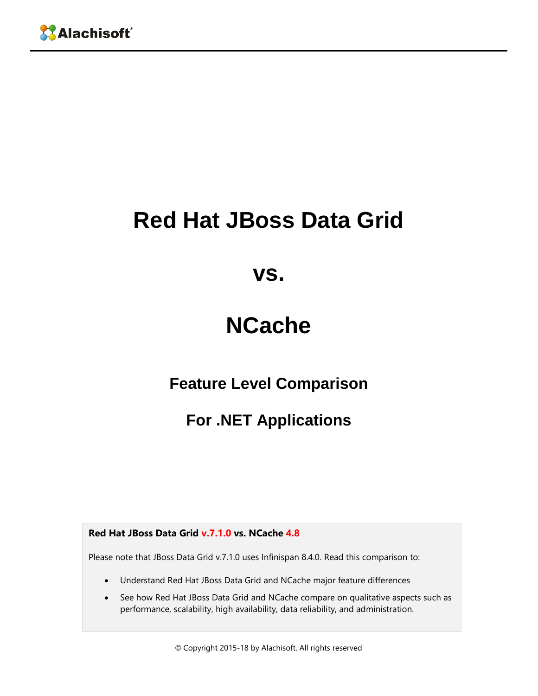# **Red Hat JBoss Data Grid**

**vs.**

## **NCache**

**Feature Level Comparison**

**For .NET Applications**

**Red Hat JBoss Data Grid v.7.1.0 vs. NCache 4.8**

Please note that JBoss Data Grid v.7.1.0 uses Infinispan 8.4.0. Read this comparison to:

- Understand Red Hat JBoss Data Grid and NCache major feature differences
- See how Red Hat JBoss Data Grid and NCache compare on qualitative aspects such as performance, scalability, high availability, data reliability, and administration.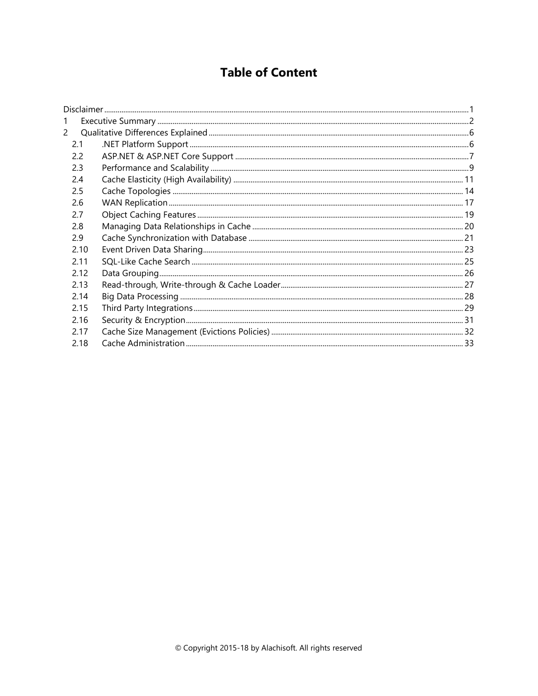### **Table of Content**

| 1    |  |
|------|--|
| 2    |  |
| 2.1  |  |
| 2.2  |  |
| 2.3  |  |
| 2.4  |  |
| 2.5  |  |
| 2.6  |  |
| 2.7  |  |
| 2.8  |  |
| 2.9  |  |
| 2.10 |  |
| 2.11 |  |
| 2.12 |  |
| 2.13 |  |
| 2.14 |  |
| 2.15 |  |
| 2.16 |  |
| 2.17 |  |
| 2.18 |  |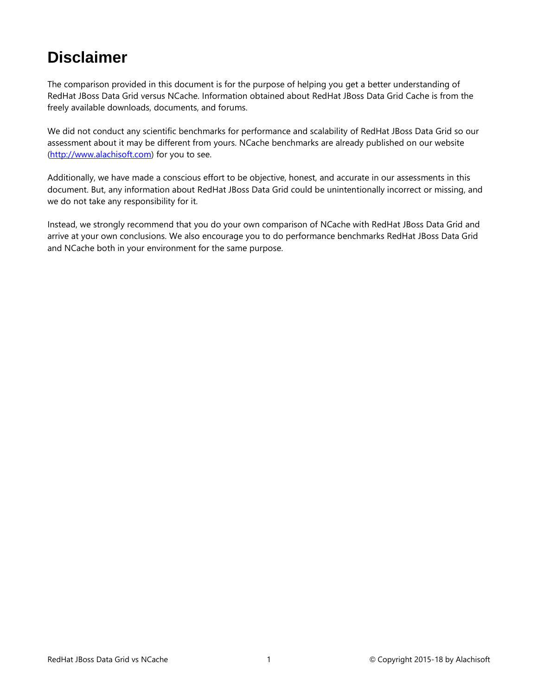### <span id="page-2-0"></span>**Disclaimer**

The comparison provided in this document is for the purpose of helping you get a better understanding of RedHat JBoss Data Grid versus NCache. Information obtained about RedHat JBoss Data Grid Cache is from the freely available downloads, documents, and forums.

We did not conduct any scientific benchmarks for performance and scalability of RedHat JBoss Data Grid so our assessment about it may be different from yours. NCache benchmarks are already published on our website [\(http://www.alachisoft.com\)](http://www.alachisoft.com/) for you to see.

Additionally, we have made a conscious effort to be objective, honest, and accurate in our assessments in this document. But, any information about RedHat JBoss Data Grid could be unintentionally incorrect or missing, and we do not take any responsibility for it.

Instead, we strongly recommend that you do your own comparison of NCache with RedHat JBoss Data Grid and arrive at your own conclusions. We also encourage you to do performance benchmarks RedHat JBoss Data Grid and NCache both in your environment for the same purpose.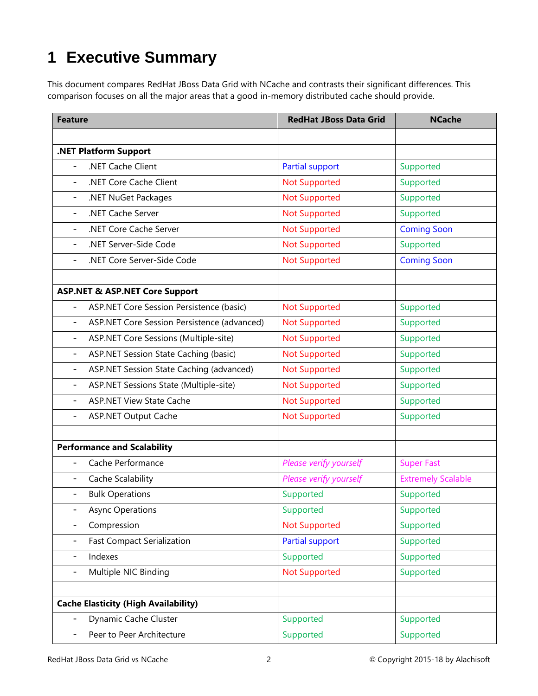## <span id="page-3-0"></span>**1 Executive Summary**

This document compares RedHat JBoss Data Grid with NCache and contrasts their significant differences. This comparison focuses on all the major areas that a good in-memory distributed cache should provide.

| <b>Feature</b>                                                          | <b>RedHat JBoss Data Grid</b> | <b>NCache</b>             |
|-------------------------------------------------------------------------|-------------------------------|---------------------------|
|                                                                         |                               |                           |
| .NET Platform Support                                                   |                               |                           |
| .NET Cache Client                                                       | <b>Partial support</b>        | Supported                 |
| .NET Core Cache Client<br>$\overline{\phantom{0}}$                      | <b>Not Supported</b>          | Supported                 |
| .NET NuGet Packages<br>-                                                | <b>Not Supported</b>          | Supported                 |
| .NET Cache Server<br>$\overline{\phantom{a}}$                           | <b>Not Supported</b>          | Supported                 |
| .NET Core Cache Server<br>$\overline{\phantom{a}}$                      | <b>Not Supported</b>          | <b>Coming Soon</b>        |
| .NET Server-Side Code<br>$\overline{\phantom{a}}$                       | <b>Not Supported</b>          | Supported                 |
| .NET Core Server-Side Code<br>$\overline{\phantom{a}}$                  | <b>Not Supported</b>          | <b>Coming Soon</b>        |
| <b>ASP.NET &amp; ASP.NET Core Support</b>                               |                               |                           |
| ASP.NET Core Session Persistence (basic)                                | <b>Not Supported</b>          | Supported                 |
| ASP.NET Core Session Persistence (advanced)<br>$\overline{\phantom{a}}$ | <b>Not Supported</b>          | Supported                 |
| ASP.NET Core Sessions (Multiple-site)<br>$\overline{\phantom{a}}$       | <b>Not Supported</b>          | Supported                 |
| ASP.NET Session State Caching (basic)<br>$\overline{\phantom{a}}$       | <b>Not Supported</b>          | Supported                 |
| ASP.NET Session State Caching (advanced)<br>$\overline{\phantom{a}}$    | <b>Not Supported</b>          | Supported                 |
| ASP.NET Sessions State (Multiple-site)<br>$\overline{\phantom{a}}$      | <b>Not Supported</b>          | Supported                 |
| <b>ASP.NET View State Cache</b>                                         | <b>Not Supported</b>          | Supported                 |
| <b>ASP.NET Output Cache</b><br>$\overline{\phantom{0}}$                 | <b>Not Supported</b>          | Supported                 |
|                                                                         |                               |                           |
| <b>Performance and Scalability</b>                                      |                               |                           |
| Cache Performance                                                       | Please verify yourself        | <b>Super Fast</b>         |
| Cache Scalability<br>$\overline{\phantom{0}}$                           | Please verify yourself        | <b>Extremely Scalable</b> |
| <b>Bulk Operations</b><br>$\overline{\phantom{0}}$                      | Supported                     | Supported                 |
| <b>Async Operations</b>                                                 | Supported                     | Supported                 |
| Compression                                                             | <b>Not Supported</b>          | Supported                 |
| <b>Fast Compact Serialization</b><br>-                                  | Partial support               | Supported                 |
| Indexes<br>-                                                            | Supported                     | Supported                 |
| Multiple NIC Binding<br>-                                               | <b>Not Supported</b>          | Supported                 |
| <b>Cache Elasticity (High Availability)</b>                             |                               |                           |
| Dynamic Cache Cluster                                                   | Supported                     | Supported                 |
| Peer to Peer Architecture<br>$\overline{\phantom{0}}$                   | Supported                     | Supported                 |
|                                                                         |                               |                           |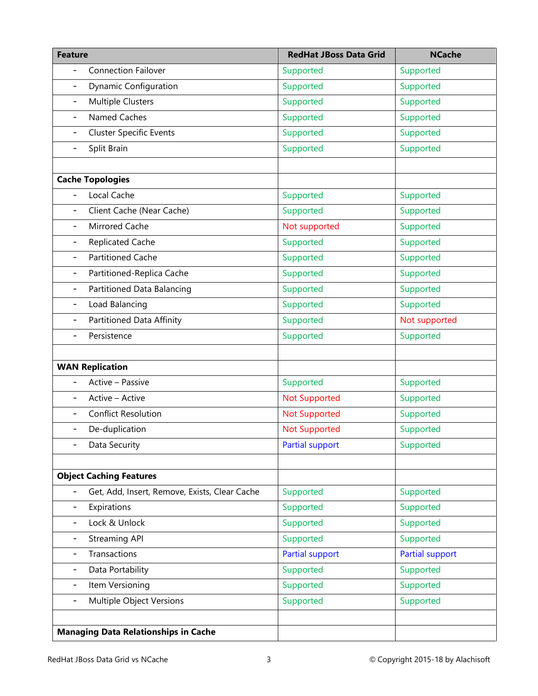| <b>Feature</b>                                           | <b>RedHat JBoss Data Grid</b> | <b>NCache</b>   |
|----------------------------------------------------------|-------------------------------|-----------------|
| <b>Connection Failover</b>                               | Supported                     | Supported       |
| <b>Dynamic Configuration</b><br>$\overline{\phantom{a}}$ | Supported                     | Supported       |
| <b>Multiple Clusters</b><br>$\overline{\phantom{a}}$     | Supported                     | Supported       |
| Named Caches<br>$\overline{\phantom{a}}$                 | Supported                     | Supported       |
| <b>Cluster Specific Events</b><br>-                      | Supported                     | Supported       |
| Split Brain<br>$\overline{\phantom{0}}$                  | Supported                     | Supported       |
|                                                          |                               |                 |
| <b>Cache Topologies</b>                                  |                               |                 |
| Local Cache<br>$\overline{\phantom{0}}$                  | Supported                     | Supported       |
| Client Cache (Near Cache)<br>$\overline{\phantom{0}}$    | Supported                     | Supported       |
| Mirrored Cache<br>$\overline{\phantom{a}}$               | Not supported                 | Supported       |
| <b>Replicated Cache</b><br>$\overline{\phantom{a}}$      | Supported                     | Supported       |
| <b>Partitioned Cache</b><br>$\overline{\phantom{a}}$     | Supported                     | Supported       |
| Partitioned-Replica Cache<br>$\qquad \qquad -$           | Supported                     | Supported       |
| Partitioned Data Balancing<br>$\overline{\phantom{a}}$   | Supported                     | Supported       |
| Load Balancing<br>$\overline{\phantom{a}}$               | Supported                     | Supported       |
| Partitioned Data Affinity<br>-                           | Supported                     | Not supported   |
| Persistence<br>$\overline{a}$                            | Supported                     | Supported       |
|                                                          |                               |                 |
| <b>WAN Replication</b>                                   |                               |                 |
| Active - Passive                                         | Supported                     | Supported       |
| Active - Active                                          | <b>Not Supported</b>          | Supported       |
| <b>Conflict Resolution</b><br>$\overline{\phantom{0}}$   | <b>Not Supported</b>          | Supported       |
| De-duplication<br>$\qquad \qquad -$                      | <b>Not Supported</b>          | Supported       |
| Data Security                                            | <b>Partial support</b>        | Supported       |
|                                                          |                               |                 |
| <b>Object Caching Features</b>                           |                               |                 |
| Get, Add, Insert, Remove, Exists, Clear Cache            | Supported                     | Supported       |
| Expirations<br>$\overline{\phantom{a}}$                  | Supported                     | Supported       |
| Lock & Unlock<br>$\overline{\phantom{a}}$                | Supported                     | Supported       |
| <b>Streaming API</b><br>$\overline{\phantom{0}}$         | Supported                     | Supported       |
| Transactions<br>-                                        | <b>Partial support</b>        | Partial support |
| Data Portability<br>$\overline{\phantom{a}}$             | Supported                     | Supported       |
| Item Versioning<br>-                                     | Supported                     | Supported       |
| Multiple Object Versions<br>$\overline{\phantom{a}}$     | Supported                     | Supported       |
|                                                          |                               |                 |
| <b>Managing Data Relationships in Cache</b>              |                               |                 |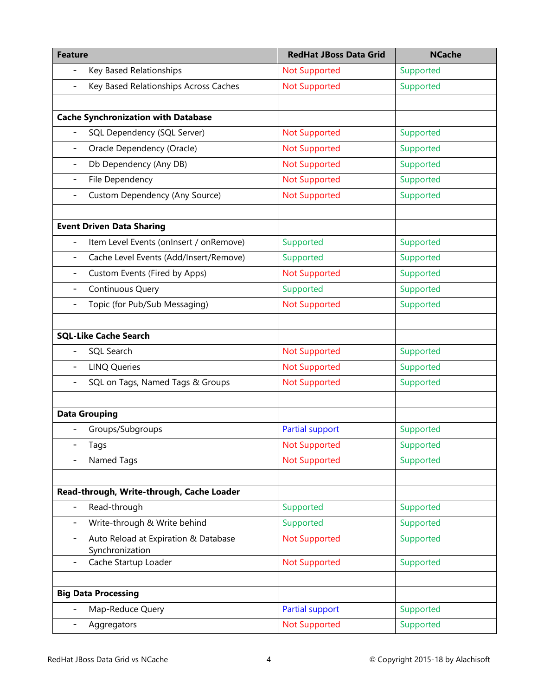| <b>Feature</b>                                                    | <b>RedHat JBoss Data Grid</b> | <b>NCache</b> |
|-------------------------------------------------------------------|-------------------------------|---------------|
| Key Based Relationships<br>$\overline{\phantom{0}}$               | <b>Not Supported</b>          | Supported     |
| Key Based Relationships Across Caches<br>$\overline{\phantom{0}}$ | <b>Not Supported</b>          | Supported     |
|                                                                   |                               |               |
| <b>Cache Synchronization with Database</b>                        |                               |               |
| SQL Dependency (SQL Server)<br>$\overline{\phantom{0}}$           | <b>Not Supported</b>          | Supported     |
| Oracle Dependency (Oracle)<br>-                                   | <b>Not Supported</b>          | Supported     |
| Db Dependency (Any DB)<br>$\overline{\phantom{a}}$                | <b>Not Supported</b>          | Supported     |
| File Dependency<br>-                                              | <b>Not Supported</b>          | Supported     |
| Custom Dependency (Any Source)<br>-                               | <b>Not Supported</b>          | Supported     |
| <b>Event Driven Data Sharing</b>                                  |                               |               |
| Item Level Events (onInsert / onRemove)                           | Supported                     | Supported     |
| Cache Level Events (Add/Insert/Remove)<br>-                       | Supported                     | Supported     |
| Custom Events (Fired by Apps)<br>-                                | <b>Not Supported</b>          | Supported     |
| <b>Continuous Query</b><br>-                                      | Supported                     | Supported     |
| Topic (for Pub/Sub Messaging)<br>$\overline{\phantom{0}}$         | <b>Not Supported</b>          | Supported     |
|                                                                   |                               |               |
| <b>SQL-Like Cache Search</b>                                      |                               |               |
| SQL Search                                                        | <b>Not Supported</b>          | Supported     |
| <b>LINQ Queries</b>                                               | <b>Not Supported</b>          | Supported     |
| SQL on Tags, Named Tags & Groups                                  | <b>Not Supported</b>          | Supported     |
| <b>Data Grouping</b>                                              |                               |               |
| Groups/Subgroups                                                  | <b>Partial support</b>        | Supported     |
| Tags                                                              | <b>Not Supported</b>          | Supported     |
| Named Tags                                                        | <b>Not Supported</b>          | Supported     |
| Read-through, Write-through, Cache Loader                         |                               |               |
| Read-through<br>$\overline{\phantom{0}}$                          | Supported                     | Supported     |
| Write-through & Write behind<br>-                                 | Supported                     | Supported     |
| Auto Reload at Expiration & Database<br>-                         | <b>Not Supported</b>          | Supported     |
| Synchronization                                                   |                               |               |
| Cache Startup Loader<br>۰                                         | <b>Not Supported</b>          | Supported     |
|                                                                   |                               |               |
| <b>Big Data Processing</b>                                        |                               |               |
| Map-Reduce Query                                                  | <b>Partial support</b>        | Supported     |
| Aggregators                                                       | <b>Not Supported</b>          | Supported     |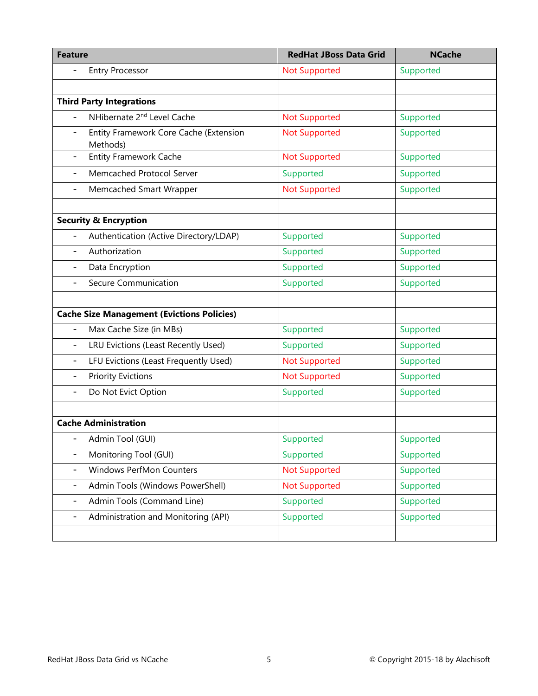| <b>Feature</b>                                                                 | <b>RedHat JBoss Data Grid</b> | <b>NCache</b> |
|--------------------------------------------------------------------------------|-------------------------------|---------------|
| <b>Entry Processor</b>                                                         | <b>Not Supported</b>          | Supported     |
|                                                                                |                               |               |
| <b>Third Party Integrations</b>                                                |                               |               |
| NHibernate 2 <sup>nd</sup> Level Cache                                         | <b>Not Supported</b>          | Supported     |
| Entity Framework Core Cache (Extension<br>$\overline{\phantom{0}}$<br>Methods) | <b>Not Supported</b>          | Supported     |
| <b>Entity Framework Cache</b><br>$\overline{\phantom{a}}$                      | <b>Not Supported</b>          | Supported     |
| Memcached Protocol Server<br>$\overline{\phantom{0}}$                          | Supported                     | Supported     |
| Memcached Smart Wrapper<br>$\overline{\phantom{a}}$                            | <b>Not Supported</b>          | Supported     |
|                                                                                |                               |               |
| <b>Security &amp; Encryption</b>                                               |                               |               |
| Authentication (Active Directory/LDAP)                                         | Supported                     | Supported     |
| Authorization                                                                  | Supported                     | Supported     |
| Data Encryption                                                                | Supported                     | Supported     |
| <b>Secure Communication</b>                                                    | Supported                     | Supported     |
|                                                                                |                               |               |
| <b>Cache Size Management (Evictions Policies)</b>                              |                               |               |
| Max Cache Size (in MBs)                                                        | Supported                     | Supported     |
| LRU Evictions (Least Recently Used)                                            | Supported                     | Supported     |
| LFU Evictions (Least Frequently Used)<br>$\overline{\phantom{0}}$              | <b>Not Supported</b>          | Supported     |
| <b>Priority Evictions</b>                                                      | <b>Not Supported</b>          | Supported     |
| Do Not Evict Option<br>$\overline{\phantom{0}}$                                | Supported                     | Supported     |
|                                                                                |                               |               |
| <b>Cache Administration</b>                                                    |                               |               |
| Admin Tool (GUI)                                                               | Supported                     | Supported     |
| Monitoring Tool (GUI)<br>$\overline{\phantom{0}}$                              | Supported                     | Supported     |
| Windows PerfMon Counters<br>$\overline{\phantom{0}}$                           | <b>Not Supported</b>          | Supported     |
| Admin Tools (Windows PowerShell)<br>-                                          | <b>Not Supported</b>          | Supported     |
| Admin Tools (Command Line)<br>$\overline{\phantom{a}}$                         | Supported                     | Supported     |
| Administration and Monitoring (API)<br>$\overline{\phantom{a}}$                | Supported                     | Supported     |
|                                                                                |                               |               |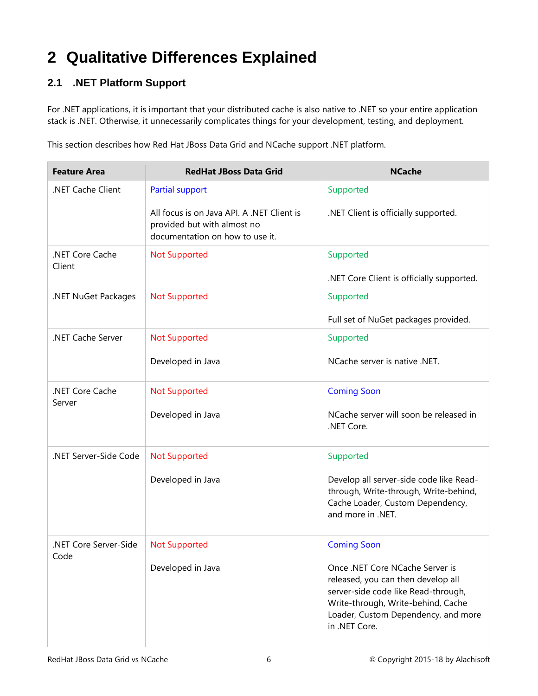## <span id="page-7-0"></span>**2 Qualitative Differences Explained**

#### <span id="page-7-1"></span>**2.1 .NET Platform Support**

For .NET applications, it is important that your distributed cache is also native to .NET so your entire application stack is .NET. Otherwise, it unnecessarily complicates things for your development, testing, and deployment.

This section describes how Red Hat JBoss Data Grid and NCache support .NET platform.

| <b>Feature Area</b>       | <b>RedHat JBoss Data Grid</b>                                                                                | <b>NCache</b>                                                                                                                                                                                              |
|---------------------------|--------------------------------------------------------------------------------------------------------------|------------------------------------------------------------------------------------------------------------------------------------------------------------------------------------------------------------|
| .NET Cache Client         | <b>Partial support</b>                                                                                       | Supported                                                                                                                                                                                                  |
|                           | All focus is on Java API. A .NET Client is<br>provided but with almost no<br>documentation on how to use it. | .NET Client is officially supported.                                                                                                                                                                       |
| .NET Core Cache<br>Client | <b>Not Supported</b>                                                                                         | Supported<br>.NET Core Client is officially supported.                                                                                                                                                     |
| .NET NuGet Packages       | <b>Not Supported</b>                                                                                         | Supported                                                                                                                                                                                                  |
|                           |                                                                                                              |                                                                                                                                                                                                            |
|                           |                                                                                                              | Full set of NuGet packages provided.                                                                                                                                                                       |
| .NET Cache Server         | <b>Not Supported</b>                                                                                         | Supported                                                                                                                                                                                                  |
|                           | Developed in Java                                                                                            | NCache server is native .NET.                                                                                                                                                                              |
| .NET Core Cache           | <b>Not Supported</b>                                                                                         | <b>Coming Soon</b>                                                                                                                                                                                         |
| Server                    | Developed in Java                                                                                            | NCache server will soon be released in<br>.NET Core.                                                                                                                                                       |
| .NET Server-Side Code     | <b>Not Supported</b>                                                                                         | Supported                                                                                                                                                                                                  |
|                           | Developed in Java                                                                                            | Develop all server-side code like Read-<br>through, Write-through, Write-behind,<br>Cache Loader, Custom Dependency,<br>and more in .NET.                                                                  |
| .NET Core Server-Side     | <b>Not Supported</b>                                                                                         | <b>Coming Soon</b>                                                                                                                                                                                         |
| Code                      | Developed in Java                                                                                            | Once .NET Core NCache Server is<br>released, you can then develop all<br>server-side code like Read-through,<br>Write-through, Write-behind, Cache<br>Loader, Custom Dependency, and more<br>in .NET Core. |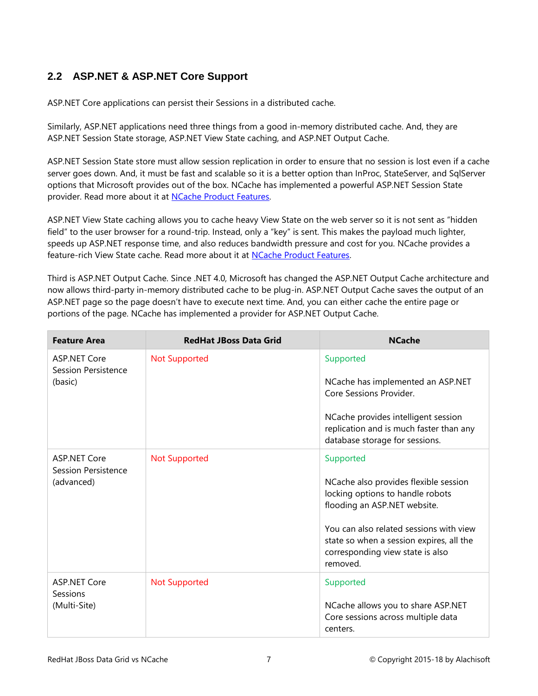#### <span id="page-8-0"></span>**2.2 ASP.NET & ASP.NET Core Support**

ASP.NET Core applications can persist their Sessions in a distributed cache.

Similarly, ASP.NET applications need three things from a good in-memory distributed cache. And, they are ASP.NET Session State storage, ASP.NET View State caching, and ASP.NET Output Cache.

ASP.NET Session State store must allow session replication in order to ensure that no session is lost even if a cache server goes down. And, it must be fast and scalable so it is a better option than InProc, StateServer, and SqlServer options that Microsoft provides out of the box. NCache has implemented a powerful ASP.NET Session State provider. Read more about it at NCache [Product Features.](http://www.alachisoft.com/ncache/features.html) 

ASP.NET View State caching allows you to cache heavy View State on the web server so it is not sent as "hidden field" to the user browser for a round-trip. Instead, only a "key" is sent. This makes the payload much lighter, speeds up ASP.NET response time, and also reduces bandwidth pressure and cost for you. NCache provides a feature-rich View State cache. Read more about it at NCache [Product Features.](http://www.alachisoft.com/ncache/features.html)

Third is ASP.NET Output Cache. Since .NET 4.0, Microsoft has changed the ASP.NET Output Cache architecture and now allows third-party in-memory distributed cache to be plug-in. ASP.NET Output Cache saves the output of an ASP.NET page so the page doesn't have to execute next time. And, you can either cache the entire page or portions of the page. NCache has implemented a provider for ASP.NET Output Cache.

| <b>Feature Area</b>                                      | <b>RedHat JBoss Data Grid</b> | <b>NCache</b>                                                                                                                                                                                                                                                 |
|----------------------------------------------------------|-------------------------------|---------------------------------------------------------------------------------------------------------------------------------------------------------------------------------------------------------------------------------------------------------------|
| <b>ASP.NET Core</b><br>Session Persistence<br>(basic)    | <b>Not Supported</b>          | Supported<br>NCache has implemented an ASP.NET<br>Core Sessions Provider.<br>NCache provides intelligent session<br>replication and is much faster than any<br>database storage for sessions.                                                                 |
| <b>ASP.NET Core</b><br>Session Persistence<br>(advanced) | <b>Not Supported</b>          | Supported<br>NCache also provides flexible session<br>locking options to handle robots<br>flooding an ASP.NET website.<br>You can also related sessions with view<br>state so when a session expires, all the<br>corresponding view state is also<br>removed. |
| <b>ASP.NET Core</b><br>Sessions<br>(Multi-Site)          | <b>Not Supported</b>          | Supported<br>NCache allows you to share ASP.NET<br>Core sessions across multiple data<br>centers.                                                                                                                                                             |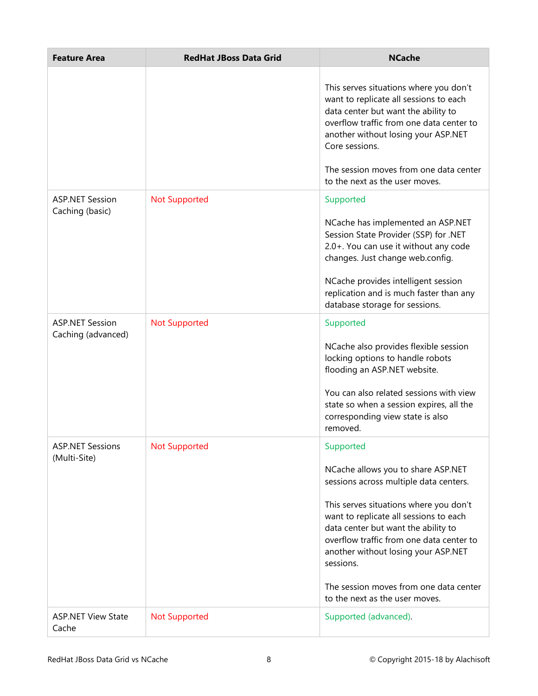| <b>Feature Area</b>                          | <b>RedHat JBoss Data Grid</b> | <b>NCache</b>                                                                                                                                                                                                                                                                                                                                                                                    |
|----------------------------------------------|-------------------------------|--------------------------------------------------------------------------------------------------------------------------------------------------------------------------------------------------------------------------------------------------------------------------------------------------------------------------------------------------------------------------------------------------|
|                                              |                               | This serves situations where you don't<br>want to replicate all sessions to each<br>data center but want the ability to<br>overflow traffic from one data center to<br>another without losing your ASP.NET<br>Core sessions.<br>The session moves from one data center<br>to the next as the user moves.                                                                                         |
| <b>ASP.NET Session</b><br>Caching (basic)    | <b>Not Supported</b>          | Supported<br>NCache has implemented an ASP.NET<br>Session State Provider (SSP) for .NET<br>2.0+. You can use it without any code<br>changes. Just change web.config.<br>NCache provides intelligent session<br>replication and is much faster than any<br>database storage for sessions.                                                                                                         |
| <b>ASP.NET Session</b><br>Caching (advanced) | <b>Not Supported</b>          | Supported<br>NCache also provides flexible session<br>locking options to handle robots<br>flooding an ASP.NET website.<br>You can also related sessions with view<br>state so when a session expires, all the<br>corresponding view state is also<br>removed.                                                                                                                                    |
| <b>ASP.NET Sessions</b><br>(Multi-Site)      | <b>Not Supported</b>          | Supported<br>NCache allows you to share ASP.NET<br>sessions across multiple data centers.<br>This serves situations where you don't<br>want to replicate all sessions to each<br>data center but want the ability to<br>overflow traffic from one data center to<br>another without losing your ASP.NET<br>sessions.<br>The session moves from one data center<br>to the next as the user moves. |
| <b>ASP.NET View State</b><br>Cache           | <b>Not Supported</b>          | Supported (advanced).                                                                                                                                                                                                                                                                                                                                                                            |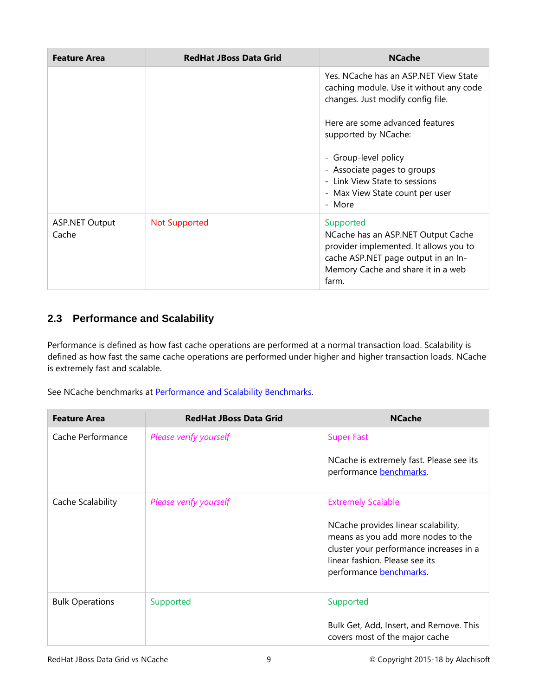| <b>Feature Area</b>            | <b>RedHat JBoss Data Grid</b> | <b>NCache</b>                                                                                                                                                                   |
|--------------------------------|-------------------------------|---------------------------------------------------------------------------------------------------------------------------------------------------------------------------------|
|                                |                               | Yes. NCache has an ASP.NET View State<br>caching module. Use it without any code<br>changes. Just modify config file.                                                           |
|                                |                               | Here are some advanced features<br>supported by NCache:                                                                                                                         |
|                                |                               | - Group-level policy<br>- Associate pages to groups<br>- Link View State to sessions<br>- Max View State count per user<br>- More                                               |
| <b>ASP.NET Output</b><br>Cache | <b>Not Supported</b>          | Supported<br>NCache has an ASP.NET Output Cache<br>provider implemented. It allows you to<br>cache ASP.NET page output in an In-<br>Memory Cache and share it in a web<br>farm. |

#### <span id="page-10-0"></span>**2.3 Performance and Scalability**

Performance is defined as how fast cache operations are performed at a normal transaction load. Scalability is defined as how fast the same cache operations are performed under higher and higher transaction loads. NCache is extremely fast and scalable.

See NCache benchmarks at [Performance and Scalability Benchmarks.](http://www.alachisoft.com/resources/ncache-performance-benchmarks.html)

| <b>Feature Area</b>    | <b>RedHat JBoss Data Grid</b> | <b>NCache</b>                                                                                                                                                                                                  |
|------------------------|-------------------------------|----------------------------------------------------------------------------------------------------------------------------------------------------------------------------------------------------------------|
| Cache Performance      | Please verify yourself        | <b>Super Fast</b><br>NCache is extremely fast. Please see its<br>performance benchmarks.                                                                                                                       |
| Cache Scalability      | Please verify yourself        | <b>Extremely Scalable</b><br>NCache provides linear scalability,<br>means as you add more nodes to the<br>cluster your performance increases in a<br>linear fashion. Please see its<br>performance benchmarks. |
| <b>Bulk Operations</b> | Supported                     | Supported<br>Bulk Get, Add, Insert, and Remove. This<br>covers most of the major cache                                                                                                                         |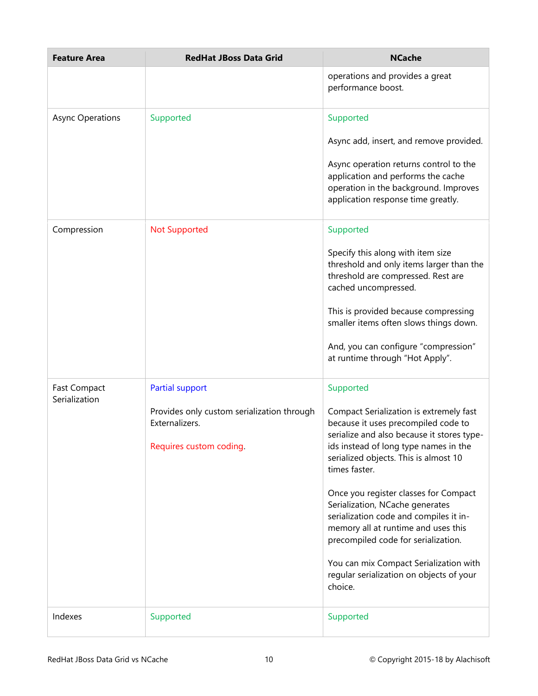| <b>Feature Area</b>                  | <b>RedHat JBoss Data Grid</b>                                                           | <b>NCache</b>                                                                                                                                                                                                                   |
|--------------------------------------|-----------------------------------------------------------------------------------------|---------------------------------------------------------------------------------------------------------------------------------------------------------------------------------------------------------------------------------|
|                                      |                                                                                         | operations and provides a great<br>performance boost.                                                                                                                                                                           |
| <b>Async Operations</b>              | Supported                                                                               | Supported                                                                                                                                                                                                                       |
|                                      |                                                                                         | Async add, insert, and remove provided.                                                                                                                                                                                         |
|                                      |                                                                                         | Async operation returns control to the<br>application and performs the cache<br>operation in the background. Improves<br>application response time greatly.                                                                     |
| Compression                          | <b>Not Supported</b>                                                                    | Supported                                                                                                                                                                                                                       |
|                                      |                                                                                         | Specify this along with item size<br>threshold and only items larger than the<br>threshold are compressed. Rest are<br>cached uncompressed.                                                                                     |
|                                      |                                                                                         | This is provided because compressing<br>smaller items often slows things down.                                                                                                                                                  |
|                                      |                                                                                         | And, you can configure "compression"<br>at runtime through "Hot Apply".                                                                                                                                                         |
| <b>Fast Compact</b><br>Serialization | Partial support                                                                         | Supported                                                                                                                                                                                                                       |
|                                      | Provides only custom serialization through<br>Externalizers.<br>Requires custom coding. | Compact Serialization is extremely fast<br>because it uses precompiled code to<br>serialize and also because it stores type-<br>ids instead of long type names in the<br>serialized objects. This is almost 10<br>times faster. |
|                                      |                                                                                         | Once you register classes for Compact<br>Serialization, NCache generates<br>serialization code and compiles it in-<br>memory all at runtime and uses this<br>precompiled code for serialization.                                |
|                                      |                                                                                         | You can mix Compact Serialization with<br>regular serialization on objects of your<br>choice.                                                                                                                                   |
| Indexes                              | Supported                                                                               | Supported                                                                                                                                                                                                                       |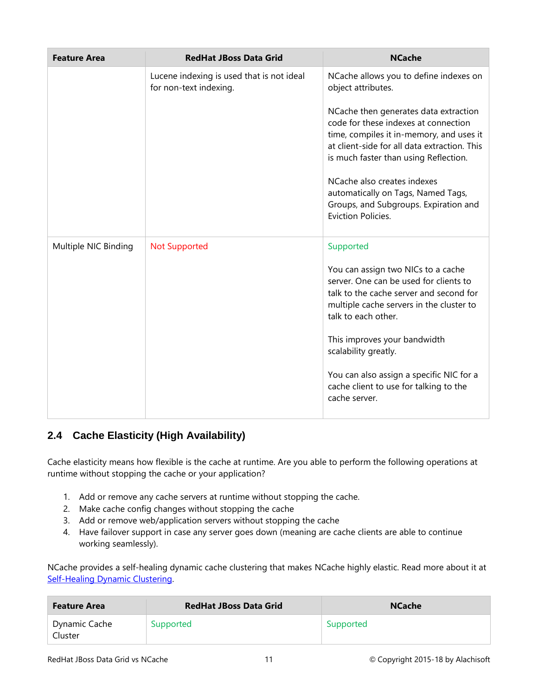| <b>Feature Area</b>  | <b>RedHat JBoss Data Grid</b>                                       | <b>NCache</b>                                                                                                                                                                                                                                                                                                                                                 |
|----------------------|---------------------------------------------------------------------|---------------------------------------------------------------------------------------------------------------------------------------------------------------------------------------------------------------------------------------------------------------------------------------------------------------------------------------------------------------|
|                      | Lucene indexing is used that is not ideal<br>for non-text indexing. | NCache allows you to define indexes on<br>object attributes.                                                                                                                                                                                                                                                                                                  |
|                      |                                                                     | NCache then generates data extraction<br>code for these indexes at connection<br>time, compiles it in-memory, and uses it<br>at client-side for all data extraction. This<br>is much faster than using Reflection.<br>NCache also creates indexes<br>automatically on Tags, Named Tags,<br>Groups, and Subgroups. Expiration and<br><b>Eviction Policies.</b> |
| Multiple NIC Binding | <b>Not Supported</b>                                                | Supported                                                                                                                                                                                                                                                                                                                                                     |
|                      |                                                                     | You can assign two NICs to a cache<br>server. One can be used for clients to<br>talk to the cache server and second for<br>multiple cache servers in the cluster to<br>talk to each other.                                                                                                                                                                    |
|                      |                                                                     | This improves your bandwidth<br>scalability greatly.                                                                                                                                                                                                                                                                                                          |
|                      |                                                                     | You can also assign a specific NIC for a<br>cache client to use for talking to the<br>cache server.                                                                                                                                                                                                                                                           |

#### <span id="page-12-0"></span>**2.4 Cache Elasticity (High Availability)**

Cache elasticity means how flexible is the cache at runtime. Are you able to perform the following operations at runtime without stopping the cache or your application?

- 1. Add or remove any cache servers at runtime without stopping the cache.
- 2. Make cache config changes without stopping the cache
- 3. Add or remove web/application servers without stopping the cache
- 4. Have failover support in case any server goes down (meaning are cache clients are able to continue working seamlessly).

NCache provides a self-healing dynamic cache clustering that makes NCache highly elastic. Read more about it at [Self-Healing Dynamic Clustering.](http://www.alachisoft.com/ncache/dynamic-clustering.html)

| <b>Feature Area</b>      | <b>RedHat JBoss Data Grid</b> | <b>NCache</b> |
|--------------------------|-------------------------------|---------------|
| Dynamic Cache<br>Cluster | Supported                     | Supported     |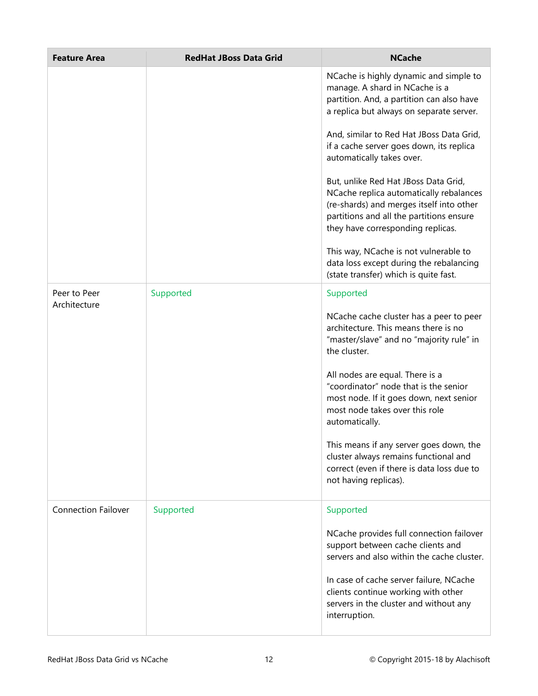| <b>Feature Area</b>        | <b>RedHat JBoss Data Grid</b> | <b>NCache</b>                                                                                                                                                                                                |
|----------------------------|-------------------------------|--------------------------------------------------------------------------------------------------------------------------------------------------------------------------------------------------------------|
|                            |                               | NCache is highly dynamic and simple to<br>manage. A shard in NCache is a<br>partition. And, a partition can also have<br>a replica but always on separate server.                                            |
|                            |                               | And, similar to Red Hat JBoss Data Grid,<br>if a cache server goes down, its replica<br>automatically takes over.                                                                                            |
|                            |                               | But, unlike Red Hat JBoss Data Grid,<br>NCache replica automatically rebalances<br>(re-shards) and merges itself into other<br>partitions and all the partitions ensure<br>they have corresponding replicas. |
|                            |                               | This way, NCache is not vulnerable to<br>data loss except during the rebalancing<br>(state transfer) which is quite fast.                                                                                    |
| Peer to Peer               | Supported                     | Supported                                                                                                                                                                                                    |
| Architecture               |                               | NCache cache cluster has a peer to peer<br>architecture. This means there is no<br>"master/slave" and no "majority rule" in<br>the cluster.                                                                  |
|                            |                               | All nodes are equal. There is a<br>"coordinator" node that is the senior<br>most node. If it goes down, next senior<br>most node takes over this role<br>automatically.                                      |
|                            |                               | This means if any server goes down, the<br>cluster always remains functional and<br>correct (even if there is data loss due to<br>not having replicas).                                                      |
| <b>Connection Failover</b> | Supported                     | Supported                                                                                                                                                                                                    |
|                            |                               | NCache provides full connection failover<br>support between cache clients and<br>servers and also within the cache cluster.                                                                                  |
|                            |                               | In case of cache server failure, NCache<br>clients continue working with other<br>servers in the cluster and without any<br>interruption.                                                                    |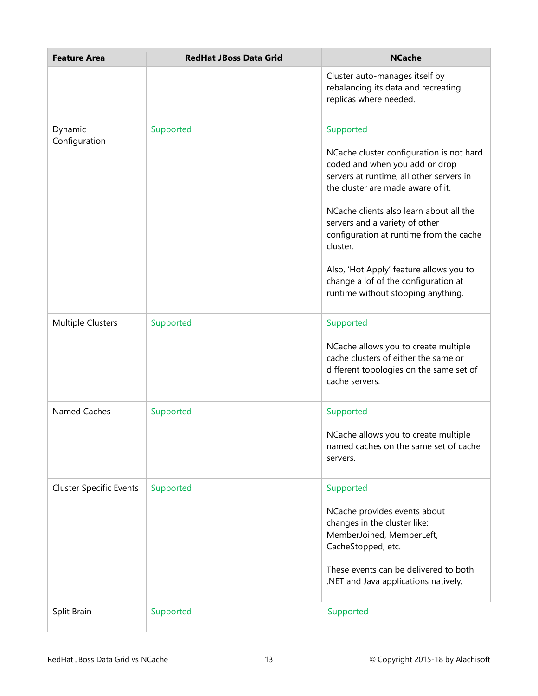| <b>Feature Area</b>            | <b>RedHat JBoss Data Grid</b> | <b>NCache</b>                                                                                                                                                                                                                                                                                                                                                                                                                         |
|--------------------------------|-------------------------------|---------------------------------------------------------------------------------------------------------------------------------------------------------------------------------------------------------------------------------------------------------------------------------------------------------------------------------------------------------------------------------------------------------------------------------------|
|                                |                               | Cluster auto-manages itself by<br>rebalancing its data and recreating<br>replicas where needed.                                                                                                                                                                                                                                                                                                                                       |
| Dynamic<br>Configuration       | Supported                     | Supported<br>NCache cluster configuration is not hard<br>coded and when you add or drop<br>servers at runtime, all other servers in<br>the cluster are made aware of it.<br>NCache clients also learn about all the<br>servers and a variety of other<br>configuration at runtime from the cache<br>cluster.<br>Also, 'Hot Apply' feature allows you to<br>change a lof of the configuration at<br>runtime without stopping anything. |
| <b>Multiple Clusters</b>       | Supported                     | Supported<br>NCache allows you to create multiple<br>cache clusters of either the same or<br>different topologies on the same set of<br>cache servers.                                                                                                                                                                                                                                                                                |
| Named Caches                   | Supported                     | Supported<br>NCache allows you to create multiple<br>named caches on the same set of cache<br>servers.                                                                                                                                                                                                                                                                                                                                |
| <b>Cluster Specific Events</b> | Supported                     | Supported<br>NCache provides events about<br>changes in the cluster like:<br>MemberJoined, MemberLeft,<br>CacheStopped, etc.<br>These events can be delivered to both<br>.NET and Java applications natively.                                                                                                                                                                                                                         |
| Split Brain                    | Supported                     | Supported                                                                                                                                                                                                                                                                                                                                                                                                                             |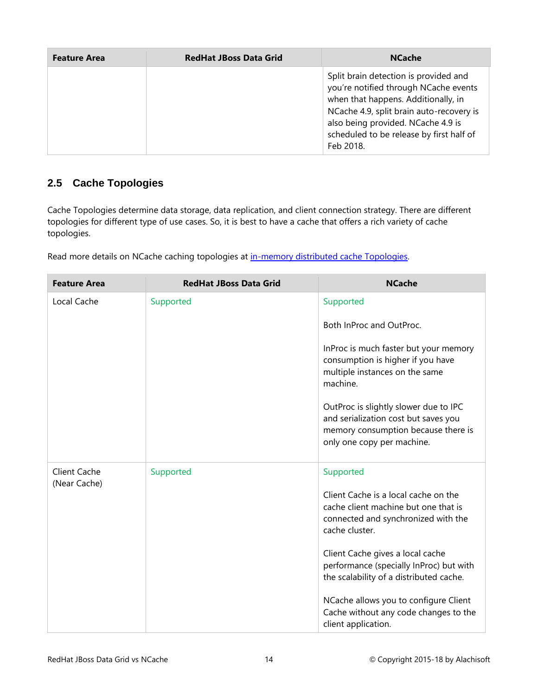| <b>Feature Area</b> | <b>RedHat JBoss Data Grid</b> | <b>NCache</b>                                                                                                                                                                                                                                                    |
|---------------------|-------------------------------|------------------------------------------------------------------------------------------------------------------------------------------------------------------------------------------------------------------------------------------------------------------|
|                     |                               | Split brain detection is provided and<br>you're notified through NCache events<br>when that happens. Additionally, in<br>NCache 4.9, split brain auto-recovery is<br>also being provided. NCache 4.9 is<br>scheduled to be release by first half of<br>Feb 2018. |

#### <span id="page-15-0"></span>**2.5 Cache Topologies**

Cache Topologies determine data storage, data replication, and client connection strategy. There are different topologies for different type of use cases. So, it is best to have a cache that offers a rich variety of cache topologies.

Read more details on NCache caching topologies at [in-memory distributed cache Topologies.](http://www.alachisoft.com/ncache/caching-topology.html)

| <b>Feature Area</b>                 | <b>RedHat JBoss Data Grid</b> | <b>NCache</b>                                                                                                                                      |
|-------------------------------------|-------------------------------|----------------------------------------------------------------------------------------------------------------------------------------------------|
| Local Cache                         | Supported                     | Supported                                                                                                                                          |
|                                     |                               | Both InProc and OutProc.                                                                                                                           |
|                                     |                               | InProc is much faster but your memory<br>consumption is higher if you have<br>multiple instances on the same<br>machine.                           |
|                                     |                               | OutProc is slightly slower due to IPC<br>and serialization cost but saves you<br>memory consumption because there is<br>only one copy per machine. |
| <b>Client Cache</b><br>(Near Cache) | Supported                     | Supported                                                                                                                                          |
|                                     |                               | Client Cache is a local cache on the<br>cache client machine but one that is<br>connected and synchronized with the<br>cache cluster.              |
|                                     |                               | Client Cache gives a local cache<br>performance (specially InProc) but with<br>the scalability of a distributed cache.                             |
|                                     |                               | NCache allows you to configure Client<br>Cache without any code changes to the<br>client application.                                              |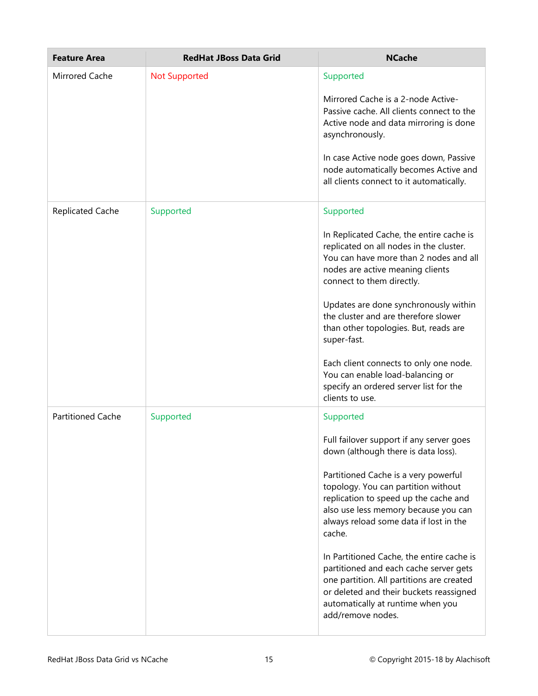| <b>Feature Area</b>      | <b>RedHat JBoss Data Grid</b> | <b>NCache</b>                                                                                                                                                                                                                                                                                                                                                                                                                                                                                                                                             |
|--------------------------|-------------------------------|-----------------------------------------------------------------------------------------------------------------------------------------------------------------------------------------------------------------------------------------------------------------------------------------------------------------------------------------------------------------------------------------------------------------------------------------------------------------------------------------------------------------------------------------------------------|
| Mirrored Cache           | <b>Not Supported</b>          | Supported<br>Mirrored Cache is a 2-node Active-<br>Passive cache. All clients connect to the<br>Active node and data mirroring is done<br>asynchronously.<br>In case Active node goes down, Passive<br>node automatically becomes Active and<br>all clients connect to it automatically.                                                                                                                                                                                                                                                                  |
| <b>Replicated Cache</b>  | Supported                     | Supported<br>In Replicated Cache, the entire cache is<br>replicated on all nodes in the cluster.<br>You can have more than 2 nodes and all<br>nodes are active meaning clients<br>connect to them directly.<br>Updates are done synchronously within<br>the cluster and are therefore slower<br>than other topologies. But, reads are<br>super-fast.<br>Each client connects to only one node.<br>You can enable load-balancing or<br>specify an ordered server list for the<br>clients to use.                                                           |
| <b>Partitioned Cache</b> | Supported                     | Supported<br>Full failover support if any server goes<br>down (although there is data loss).<br>Partitioned Cache is a very powerful<br>topology. You can partition without<br>replication to speed up the cache and<br>also use less memory because you can<br>always reload some data if lost in the<br>cache.<br>In Partitioned Cache, the entire cache is<br>partitioned and each cache server gets<br>one partition. All partitions are created<br>or deleted and their buckets reassigned<br>automatically at runtime when you<br>add/remove nodes. |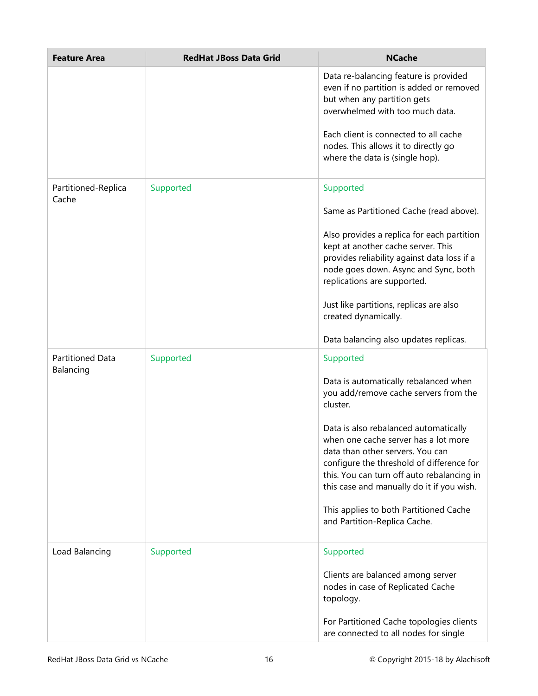| <b>Feature Area</b>           | <b>RedHat JBoss Data Grid</b> | <b>NCache</b>                                                                                                                                                                                                                                             |
|-------------------------------|-------------------------------|-----------------------------------------------------------------------------------------------------------------------------------------------------------------------------------------------------------------------------------------------------------|
|                               |                               | Data re-balancing feature is provided<br>even if no partition is added or removed<br>but when any partition gets<br>overwhelmed with too much data.                                                                                                       |
|                               |                               | Each client is connected to all cache<br>nodes. This allows it to directly go<br>where the data is (single hop).                                                                                                                                          |
| Partitioned-Replica<br>Cache  | Supported                     | Supported                                                                                                                                                                                                                                                 |
|                               |                               | Same as Partitioned Cache (read above).                                                                                                                                                                                                                   |
|                               |                               | Also provides a replica for each partition<br>kept at another cache server. This<br>provides reliability against data loss if a<br>node goes down. Async and Sync, both<br>replications are supported.                                                    |
|                               |                               | Just like partitions, replicas are also<br>created dynamically.                                                                                                                                                                                           |
|                               |                               | Data balancing also updates replicas.                                                                                                                                                                                                                     |
| Partitioned Data<br>Balancing | Supported                     | Supported                                                                                                                                                                                                                                                 |
|                               |                               | Data is automatically rebalanced when<br>you add/remove cache servers from the<br>cluster.                                                                                                                                                                |
|                               |                               | Data is also rebalanced automatically<br>when one cache server has a lot more<br>data than other servers. You can<br>configure the threshold of difference for<br>this. You can turn off auto rebalancing in<br>this case and manually do it if you wish. |
|                               |                               | This applies to both Partitioned Cache<br>and Partition-Replica Cache.                                                                                                                                                                                    |
| Load Balancing                | Supported                     | Supported                                                                                                                                                                                                                                                 |
|                               |                               | Clients are balanced among server<br>nodes in case of Replicated Cache<br>topology.                                                                                                                                                                       |
|                               |                               | For Partitioned Cache topologies clients<br>are connected to all nodes for single                                                                                                                                                                         |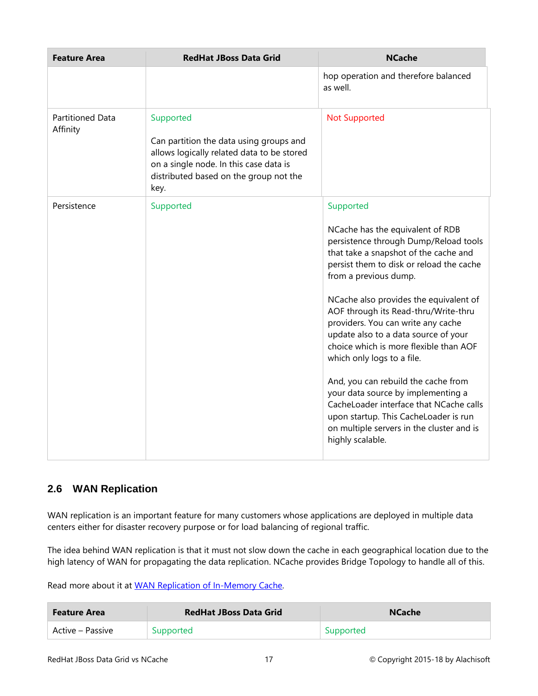| <b>Feature Area</b>                 | <b>RedHat JBoss Data Grid</b>                                                                                                                                                                  | <b>NCache</b>                                                                                                                                                                                                                                                                                                                                                                                                                                                                                                                                                                                                                                                                  |
|-------------------------------------|------------------------------------------------------------------------------------------------------------------------------------------------------------------------------------------------|--------------------------------------------------------------------------------------------------------------------------------------------------------------------------------------------------------------------------------------------------------------------------------------------------------------------------------------------------------------------------------------------------------------------------------------------------------------------------------------------------------------------------------------------------------------------------------------------------------------------------------------------------------------------------------|
|                                     |                                                                                                                                                                                                | hop operation and therefore balanced<br>as well.                                                                                                                                                                                                                                                                                                                                                                                                                                                                                                                                                                                                                               |
| <b>Partitioned Data</b><br>Affinity | Supported<br>Can partition the data using groups and<br>allows logically related data to be stored<br>on a single node. In this case data is<br>distributed based on the group not the<br>key. | <b>Not Supported</b>                                                                                                                                                                                                                                                                                                                                                                                                                                                                                                                                                                                                                                                           |
| Persistence                         | Supported                                                                                                                                                                                      | Supported<br>NCache has the equivalent of RDB<br>persistence through Dump/Reload tools<br>that take a snapshot of the cache and<br>persist them to disk or reload the cache<br>from a previous dump.<br>NCache also provides the equivalent of<br>AOF through its Read-thru/Write-thru<br>providers. You can write any cache<br>update also to a data source of your<br>choice which is more flexible than AOF<br>which only logs to a file.<br>And, you can rebuild the cache from<br>your data source by implementing a<br>CacheLoader interface that NCache calls<br>upon startup. This CacheLoader is run<br>on multiple servers in the cluster and is<br>highly scalable. |

#### <span id="page-18-0"></span>**2.6 WAN Replication**

WAN replication is an important feature for many customers whose applications are deployed in multiple data centers either for disaster recovery purpose or for load balancing of regional traffic.

The idea behind WAN replication is that it must not slow down the cache in each geographical location due to the high latency of WAN for propagating the data replication. NCache provides Bridge Topology to handle all of this.

Read more about it at [WAN Replication of In-Memory Cache.](http://www.alachisoft.com/ncache/bridge-topology.html)

| <b>Feature Area</b> | <b>RedHat JBoss Data Grid</b> | <b>NCache</b> |
|---------------------|-------------------------------|---------------|
| Active – Passive    | Supported                     | Supported     |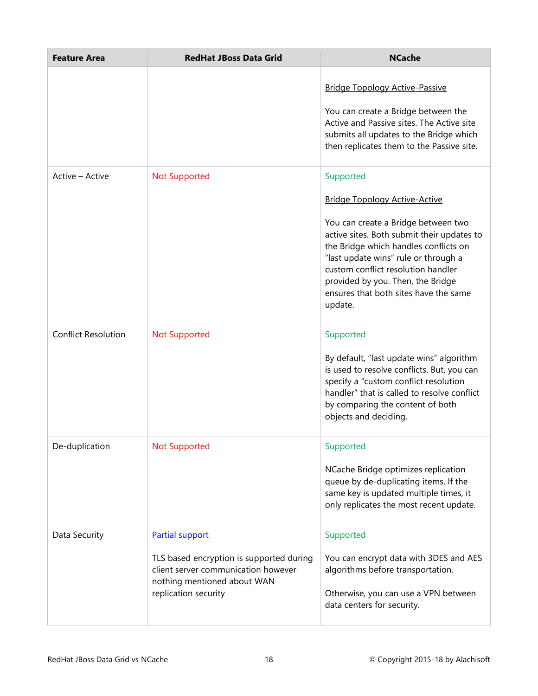| <b>Feature Area</b>        | <b>RedHat JBoss Data Grid</b>                                                                                                                                    | <b>NCache</b>                                                                                                                                                                                                                                                                                                                                          |
|----------------------------|------------------------------------------------------------------------------------------------------------------------------------------------------------------|--------------------------------------------------------------------------------------------------------------------------------------------------------------------------------------------------------------------------------------------------------------------------------------------------------------------------------------------------------|
|                            |                                                                                                                                                                  | <b>Bridge Topology Active-Passive</b><br>You can create a Bridge between the<br>Active and Passive sites. The Active site<br>submits all updates to the Bridge which<br>then replicates them to the Passive site.                                                                                                                                      |
| Active - Active            | <b>Not Supported</b>                                                                                                                                             | Supported<br><b>Bridge Topology Active-Active</b><br>You can create a Bridge between two<br>active sites. Both submit their updates to<br>the Bridge which handles conflicts on<br>"last update wins" rule or through a<br>custom conflict resolution handler<br>provided by you. Then, the Bridge<br>ensures that both sites have the same<br>update. |
| <b>Conflict Resolution</b> | <b>Not Supported</b>                                                                                                                                             | Supported<br>By default, "last update wins" algorithm<br>is used to resolve conflicts. But, you can<br>specify a "custom conflict resolution<br>handler" that is called to resolve conflict<br>by comparing the content of both<br>objects and deciding.                                                                                               |
| De-duplication             | <b>Not Supported</b>                                                                                                                                             | Supported<br>NCache Bridge optimizes replication<br>queue by de-duplicating items. If the<br>same key is updated multiple times, it<br>only replicates the most recent update.                                                                                                                                                                         |
| Data Security              | <b>Partial support</b><br>TLS based encryption is supported during<br>client server communication however<br>nothing mentioned about WAN<br>replication security | Supported<br>You can encrypt data with 3DES and AES<br>algorithms before transportation.<br>Otherwise, you can use a VPN between<br>data centers for security.                                                                                                                                                                                         |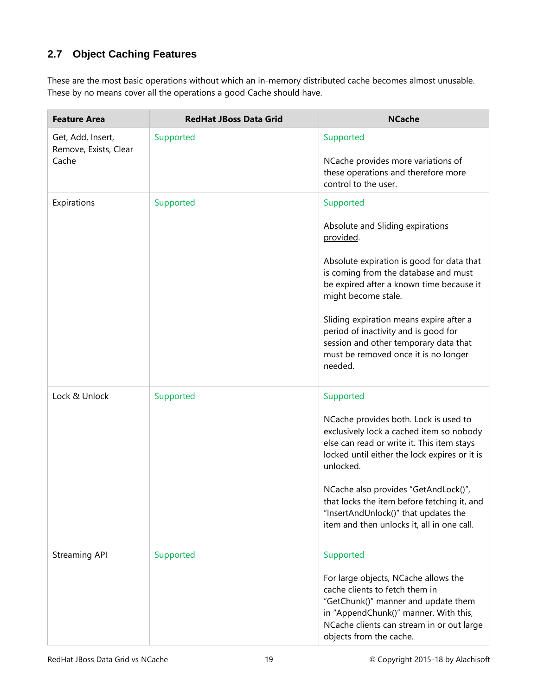#### <span id="page-20-0"></span>**2.7 Object Caching Features**

These are the most basic operations without which an in-memory distributed cache becomes almost unusable. These by no means cover all the operations a good Cache should have.

| <b>Feature Area</b>                        | <b>RedHat JBoss Data Grid</b> | <b>NCache</b>                                                                                                                                                                                                                  |
|--------------------------------------------|-------------------------------|--------------------------------------------------------------------------------------------------------------------------------------------------------------------------------------------------------------------------------|
| Get, Add, Insert,<br>Remove, Exists, Clear | Supported                     | Supported                                                                                                                                                                                                                      |
| Cache                                      |                               | NCache provides more variations of<br>these operations and therefore more<br>control to the user.                                                                                                                              |
| Expirations                                | Supported                     | Supported                                                                                                                                                                                                                      |
|                                            |                               | Absolute and Sliding expirations<br>provided.                                                                                                                                                                                  |
|                                            |                               | Absolute expiration is good for data that<br>is coming from the database and must<br>be expired after a known time because it<br>might become stale.                                                                           |
|                                            |                               | Sliding expiration means expire after a<br>period of inactivity and is good for<br>session and other temporary data that<br>must be removed once it is no longer<br>needed.                                                    |
| Lock & Unlock                              | Supported                     | Supported                                                                                                                                                                                                                      |
|                                            |                               | NCache provides both. Lock is used to<br>exclusively lock a cached item so nobody<br>else can read or write it. This item stays<br>locked until either the lock expires or it is<br>unlocked.                                  |
|                                            |                               | NCache also provides "GetAndLock()",<br>that locks the item before fetching it, and<br>"InsertAndUnlock()" that updates the<br>item and then unlocks it, all in one call.                                                      |
| <b>Streaming API</b>                       | Supported                     | Supported                                                                                                                                                                                                                      |
|                                            |                               | For large objects, NCache allows the<br>cache clients to fetch them in<br>"GetChunk()" manner and update them<br>in "AppendChunk()" manner. With this,<br>NCache clients can stream in or out large<br>objects from the cache. |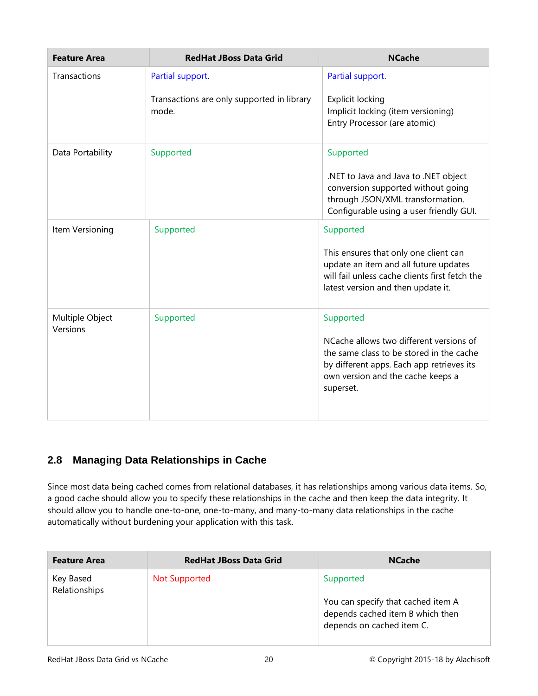| <b>Feature Area</b> | <b>RedHat JBoss Data Grid</b>                       | <b>NCache</b>                                                                                                                                                                      |
|---------------------|-----------------------------------------------------|------------------------------------------------------------------------------------------------------------------------------------------------------------------------------------|
| Transactions        | Partial support.                                    | Partial support.                                                                                                                                                                   |
|                     | Transactions are only supported in library<br>mode. | <b>Explicit locking</b><br>Implicit locking (item versioning)<br>Entry Processor (are atomic)                                                                                      |
| Data Portability    | Supported                                           | Supported                                                                                                                                                                          |
|                     |                                                     | .NET to Java and Java to .NET object<br>conversion supported without going<br>through JSON/XML transformation.<br>Configurable using a user friendly GUI.                          |
| Item Versioning     | Supported                                           | Supported                                                                                                                                                                          |
|                     |                                                     | This ensures that only one client can<br>update an item and all future updates<br>will fail unless cache clients first fetch the<br>latest version and then update it.             |
| Multiple Object     | Supported                                           | Supported                                                                                                                                                                          |
| Versions            |                                                     | NCache allows two different versions of<br>the same class to be stored in the cache<br>by different apps. Each app retrieves its<br>own version and the cache keeps a<br>superset. |

#### <span id="page-21-0"></span>**2.8 Managing Data Relationships in Cache**

Since most data being cached comes from relational databases, it has relationships among various data items. So, a good cache should allow you to specify these relationships in the cache and then keep the data integrity. It should allow you to handle one-to-one, one-to-many, and many-to-many data relationships in the cache automatically without burdening your application with this task.

| <b>Feature Area</b>        | <b>RedHat JBoss Data Grid</b> | <b>NCache</b>                                                                                                    |
|----------------------------|-------------------------------|------------------------------------------------------------------------------------------------------------------|
| Key Based<br>Relationships | <b>Not Supported</b>          | Supported<br>You can specify that cached item A<br>depends cached item B which then<br>depends on cached item C. |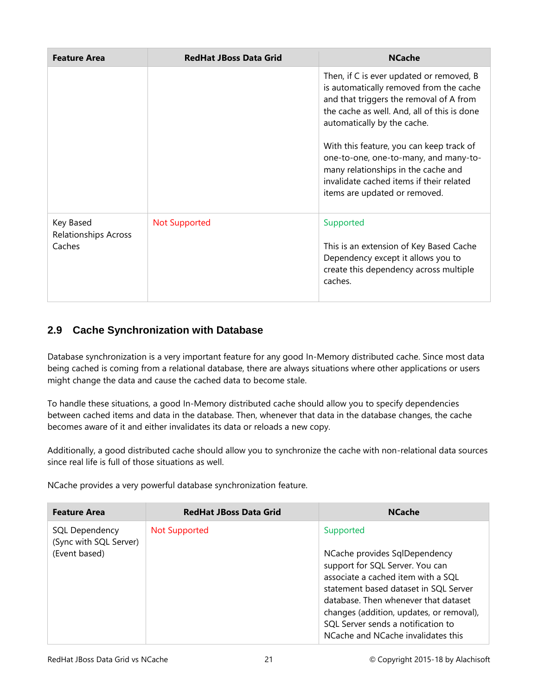| <b>Feature Area</b>                                | <b>RedHat JBoss Data Grid</b> | <b>NCache</b>                                                                                                                                                                                                                                                                                                                                                                                                         |
|----------------------------------------------------|-------------------------------|-----------------------------------------------------------------------------------------------------------------------------------------------------------------------------------------------------------------------------------------------------------------------------------------------------------------------------------------------------------------------------------------------------------------------|
|                                                    |                               | Then, if C is ever updated or removed, B<br>is automatically removed from the cache<br>and that triggers the removal of A from<br>the cache as well. And, all of this is done<br>automatically by the cache.<br>With this feature, you can keep track of<br>one-to-one, one-to-many, and many-to-<br>many relationships in the cache and<br>invalidate cached items if their related<br>items are updated or removed. |
| Key Based<br><b>Relationships Across</b><br>Caches | Not Supported                 | Supported<br>This is an extension of Key Based Cache<br>Dependency except it allows you to<br>create this dependency across multiple<br>caches.                                                                                                                                                                                                                                                                       |

#### <span id="page-22-0"></span>**2.9 Cache Synchronization with Database**

Database synchronization is a very important feature for any good In-Memory distributed cache. Since most data being cached is coming from a relational database, there are always situations where other applications or users might change the data and cause the cached data to become stale.

To handle these situations, a good In-Memory distributed cache should allow you to specify dependencies between cached items and data in the database. Then, whenever that data in the database changes, the cache becomes aware of it and either invalidates its data or reloads a new copy.

Additionally, a good distributed cache should allow you to synchronize the cache with non-relational data sources since real life is full of those situations as well.

NCache provides a very powerful database synchronization feature.

| <b>Feature Area</b>                                       | <b>RedHat JBoss Data Grid</b> | <b>NCache</b>                                                                                                                                                                                                                                                                                                                |
|-----------------------------------------------------------|-------------------------------|------------------------------------------------------------------------------------------------------------------------------------------------------------------------------------------------------------------------------------------------------------------------------------------------------------------------------|
| SQL Dependency<br>(Sync with SQL Server)<br>(Event based) | Not Supported                 | Supported<br>NCache provides SqlDependency<br>support for SQL Server. You can<br>associate a cached item with a SQL<br>statement based dataset in SQL Server<br>database. Then whenever that dataset<br>changes (addition, updates, or removal),<br>SQL Server sends a notification to<br>NCache and NCache invalidates this |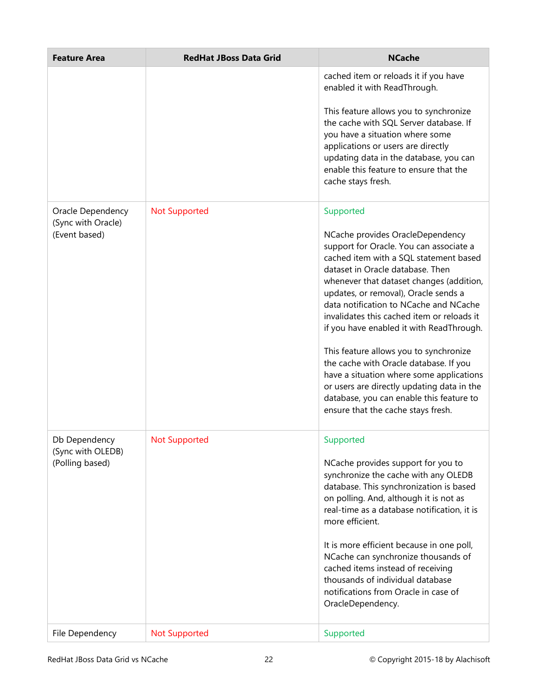| <b>Feature Area</b>                 | <b>RedHat JBoss Data Grid</b> | <b>NCache</b>                                                                                                                                                                                                                                                                                                                                                                     |
|-------------------------------------|-------------------------------|-----------------------------------------------------------------------------------------------------------------------------------------------------------------------------------------------------------------------------------------------------------------------------------------------------------------------------------------------------------------------------------|
|                                     |                               | cached item or reloads it if you have<br>enabled it with ReadThrough.                                                                                                                                                                                                                                                                                                             |
|                                     |                               | This feature allows you to synchronize<br>the cache with SQL Server database. If<br>you have a situation where some<br>applications or users are directly<br>updating data in the database, you can<br>enable this feature to ensure that the<br>cache stays fresh.                                                                                                               |
| Oracle Dependency                   | <b>Not Supported</b>          | Supported                                                                                                                                                                                                                                                                                                                                                                         |
| (Sync with Oracle)<br>(Event based) |                               | NCache provides OracleDependency<br>support for Oracle. You can associate a<br>cached item with a SQL statement based<br>dataset in Oracle database. Then<br>whenever that dataset changes (addition,<br>updates, or removal), Oracle sends a<br>data notification to NCache and NCache<br>invalidates this cached item or reloads it<br>if you have enabled it with ReadThrough. |
|                                     |                               | This feature allows you to synchronize<br>the cache with Oracle database. If you<br>have a situation where some applications<br>or users are directly updating data in the<br>database, you can enable this feature to<br>ensure that the cache stays fresh.                                                                                                                      |
| Db Dependency<br>(Sync with OLEDB)  | <b>Not Supported</b>          | Supported                                                                                                                                                                                                                                                                                                                                                                         |
| (Polling based)                     |                               | NCache provides support for you to<br>synchronize the cache with any OLEDB<br>database. This synchronization is based<br>on polling. And, although it is not as<br>real-time as a database notification, it is<br>more efficient.<br>It is more efficient because in one poll,<br>NCache can synchronize thousands of<br>cached items instead of receiving                        |
|                                     |                               | thousands of individual database<br>notifications from Oracle in case of<br>OracleDependency.                                                                                                                                                                                                                                                                                     |
| File Dependency                     | <b>Not Supported</b>          | Supported                                                                                                                                                                                                                                                                                                                                                                         |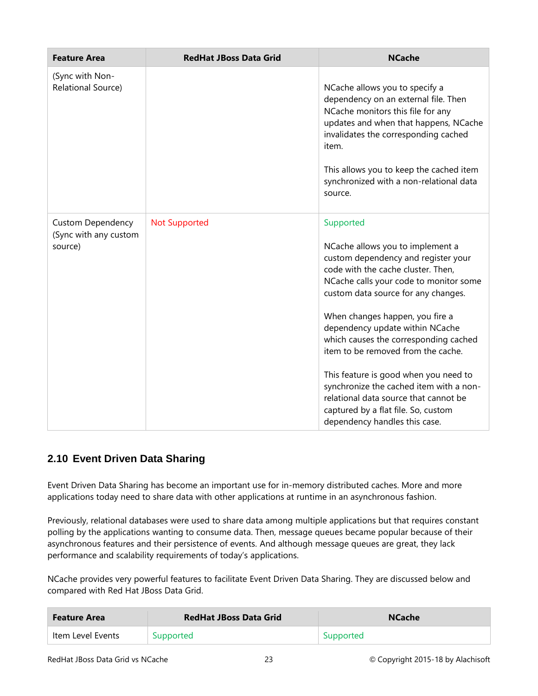| <b>Feature Area</b>                                          | <b>RedHat JBoss Data Grid</b> | <b>NCache</b>                                                                                                                                                                                                                                                                                                                                                                                                                                                                                                                                                         |
|--------------------------------------------------------------|-------------------------------|-----------------------------------------------------------------------------------------------------------------------------------------------------------------------------------------------------------------------------------------------------------------------------------------------------------------------------------------------------------------------------------------------------------------------------------------------------------------------------------------------------------------------------------------------------------------------|
| (Sync with Non-<br>Relational Source)                        |                               | NCache allows you to specify a<br>dependency on an external file. Then<br>NCache monitors this file for any<br>updates and when that happens, NCache<br>invalidates the corresponding cached<br>item.<br>This allows you to keep the cached item<br>synchronized with a non-relational data<br>source.                                                                                                                                                                                                                                                                |
| <b>Custom Dependency</b><br>(Sync with any custom<br>source) | <b>Not Supported</b>          | Supported<br>NCache allows you to implement a<br>custom dependency and register your<br>code with the cache cluster. Then,<br>NCache calls your code to monitor some<br>custom data source for any changes.<br>When changes happen, you fire a<br>dependency update within NCache<br>which causes the corresponding cached<br>item to be removed from the cache.<br>This feature is good when you need to<br>synchronize the cached item with a non-<br>relational data source that cannot be<br>captured by a flat file. So, custom<br>dependency handles this case. |

#### <span id="page-24-0"></span>**2.10 Event Driven Data Sharing**

Event Driven Data Sharing has become an important use for in-memory distributed caches. More and more applications today need to share data with other applications at runtime in an asynchronous fashion.

Previously, relational databases were used to share data among multiple applications but that requires constant polling by the applications wanting to consume data. Then, message queues became popular because of their asynchronous features and their persistence of events. And although message queues are great, they lack performance and scalability requirements of today's applications.

NCache provides very powerful features to facilitate Event Driven Data Sharing. They are discussed below and compared with Red Hat JBoss Data Grid.

| <b>Feature Area</b> | <b>RedHat JBoss Data Grid</b> | <b>NCache</b> |
|---------------------|-------------------------------|---------------|
| Item Level Events   | Supported                     | Supported     |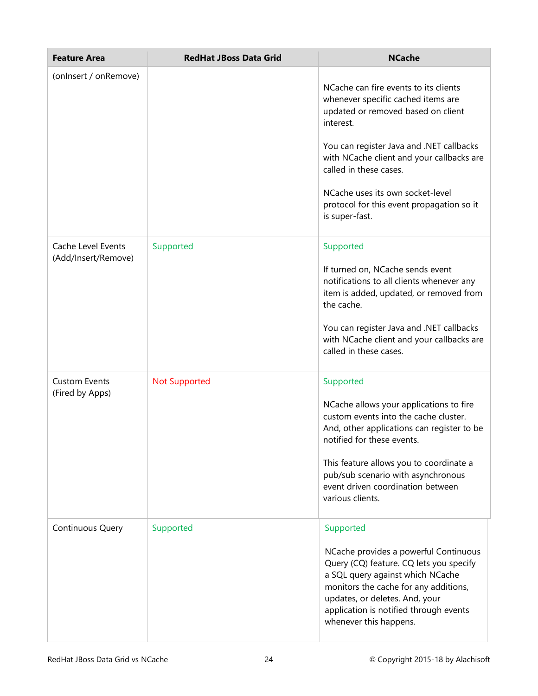| <b>Feature Area</b>                       | <b>RedHat JBoss Data Grid</b> | <b>NCache</b>                                                                                                                                                                                                                                                                                                                                        |
|-------------------------------------------|-------------------------------|------------------------------------------------------------------------------------------------------------------------------------------------------------------------------------------------------------------------------------------------------------------------------------------------------------------------------------------------------|
| (onlnsert / onRemove)                     |                               | NCache can fire events to its clients<br>whenever specific cached items are<br>updated or removed based on client<br>interest.<br>You can register Java and .NET callbacks<br>with NCache client and your callbacks are<br>called in these cases.<br>NCache uses its own socket-level<br>protocol for this event propagation so it<br>is super-fast. |
| Cache Level Events<br>(Add/Insert/Remove) | Supported                     | Supported<br>If turned on, NCache sends event<br>notifications to all clients whenever any<br>item is added, updated, or removed from<br>the cache.<br>You can register Java and .NET callbacks<br>with NCache client and your callbacks are<br>called in these cases.                                                                               |
| <b>Custom Events</b><br>(Fired by Apps)   | <b>Not Supported</b>          | Supported<br>NCache allows your applications to fire<br>custom events into the cache cluster.<br>And, other applications can register to be<br>notified for these events.<br>This feature allows you to coordinate a<br>pub/sub scenario with asynchronous<br>event driven coordination between<br>various clients.                                  |
| Continuous Query                          | Supported                     | Supported<br>NCache provides a powerful Continuous<br>Query (CQ) feature. CQ lets you specify<br>a SQL query against which NCache<br>monitors the cache for any additions,<br>updates, or deletes. And, your<br>application is notified through events<br>whenever this happens.                                                                     |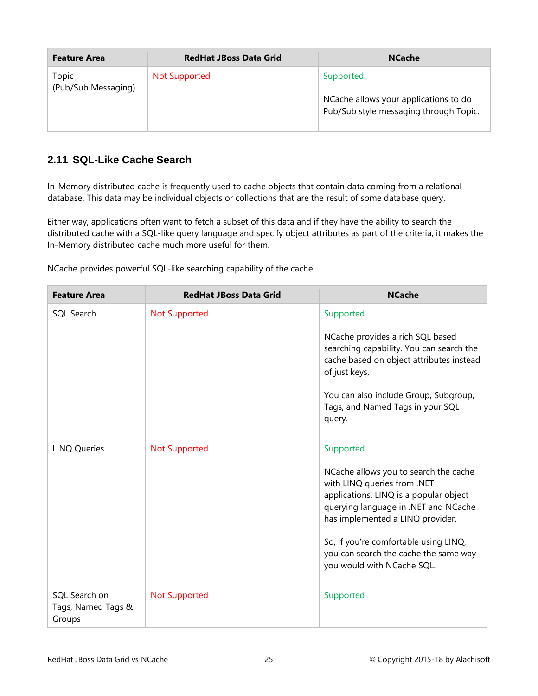| <b>Feature Area</b>          | <b>RedHat JBoss Data Grid</b> | <b>NCache</b>                                                                                |
|------------------------------|-------------------------------|----------------------------------------------------------------------------------------------|
| Topic<br>(Pub/Sub Messaging) | <b>Not Supported</b>          | Supported<br>NCache allows your applications to do<br>Pub/Sub style messaging through Topic. |

#### <span id="page-26-0"></span>**2.11 SQL-Like Cache Search**

In-Memory distributed cache is frequently used to cache objects that contain data coming from a relational database. This data may be individual objects or collections that are the result of some database query.

Either way, applications often want to fetch a subset of this data and if they have the ability to search the distributed cache with a SQL-like query language and specify object attributes as part of the criteria, it makes the In-Memory distributed cache much more useful for them.

NCache provides powerful SQL-like searching capability of the cache.

| <b>Feature Area</b>                           | <b>RedHat JBoss Data Grid</b> | <b>NCache</b>                                                                                                                                                                                                                                                                                                           |
|-----------------------------------------------|-------------------------------|-------------------------------------------------------------------------------------------------------------------------------------------------------------------------------------------------------------------------------------------------------------------------------------------------------------------------|
| SQL Search                                    | <b>Not Supported</b>          | Supported<br>NCache provides a rich SQL based<br>searching capability. You can search the<br>cache based on object attributes instead<br>of just keys.<br>You can also include Group, Subgroup,<br>Tags, and Named Tags in your SQL<br>query.                                                                           |
| <b>LINQ Queries</b>                           | <b>Not Supported</b>          | Supported<br>NCache allows you to search the cache<br>with LINQ queries from .NET<br>applications. LINQ is a popular object<br>querying language in .NET and NCache<br>has implemented a LINQ provider.<br>So, if you're comfortable using LINQ,<br>you can search the cache the same way<br>you would with NCache SQL. |
| SQL Search on<br>Tags, Named Tags &<br>Groups | <b>Not Supported</b>          | Supported                                                                                                                                                                                                                                                                                                               |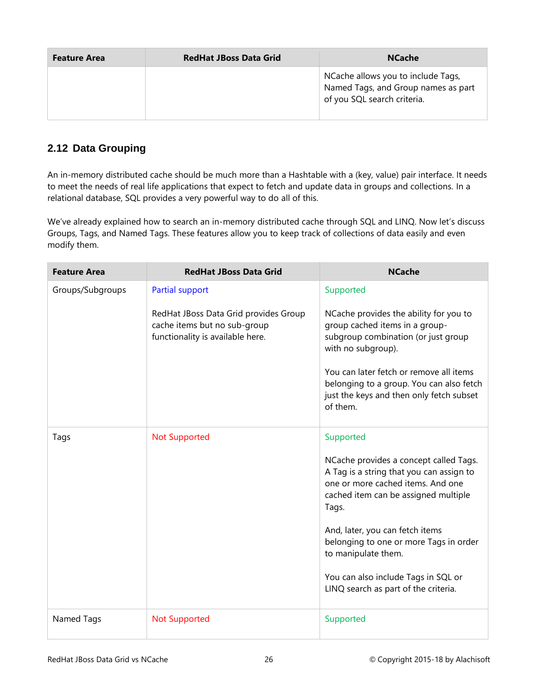| <b>Feature Area</b> | <b>RedHat JBoss Data Grid</b> | <b>NCache</b>                                                                                            |
|---------------------|-------------------------------|----------------------------------------------------------------------------------------------------------|
|                     |                               | NCache allows you to include Tags,<br>Named Tags, and Group names as part<br>of you SQL search criteria. |

#### <span id="page-27-0"></span>**2.12 Data Grouping**

An in-memory distributed cache should be much more than a Hashtable with a (key, value) pair interface. It needs to meet the needs of real life applications that expect to fetch and update data in groups and collections. In a relational database, SQL provides a very powerful way to do all of this.

We've already explained how to search an in-memory distributed cache through SQL and LINQ. Now let's discuss Groups, Tags, and Named Tags. These features allow you to keep track of collections of data easily and even modify them.

| <b>Feature Area</b> | <b>RedHat JBoss Data Grid</b>                                                                             | <b>NCache</b>                                                                                                                                                                                                                                                                                                                                                            |
|---------------------|-----------------------------------------------------------------------------------------------------------|--------------------------------------------------------------------------------------------------------------------------------------------------------------------------------------------------------------------------------------------------------------------------------------------------------------------------------------------------------------------------|
| Groups/Subgroups    | Partial support                                                                                           | Supported                                                                                                                                                                                                                                                                                                                                                                |
|                     | RedHat JBoss Data Grid provides Group<br>cache items but no sub-group<br>functionality is available here. | NCache provides the ability for you to<br>group cached items in a group-<br>subgroup combination (or just group<br>with no subgroup).<br>You can later fetch or remove all items<br>belonging to a group. You can also fetch<br>just the keys and then only fetch subset<br>of them.                                                                                     |
| Tags                | <b>Not Supported</b>                                                                                      | Supported<br>NCache provides a concept called Tags.<br>A Tag is a string that you can assign to<br>one or more cached items. And one<br>cached item can be assigned multiple<br>Tags.<br>And, later, you can fetch items<br>belonging to one or more Tags in order<br>to manipulate them.<br>You can also include Tags in SQL or<br>LINQ search as part of the criteria. |
| Named Tags          | <b>Not Supported</b>                                                                                      | Supported                                                                                                                                                                                                                                                                                                                                                                |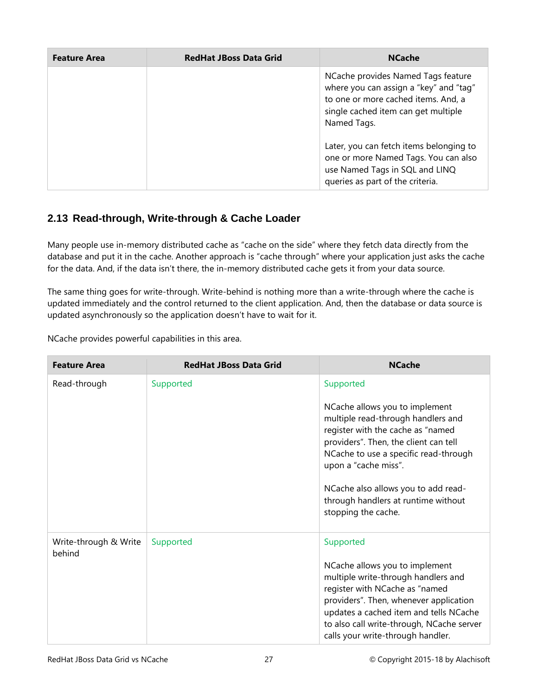| <b>Feature Area</b> | <b>RedHat JBoss Data Grid</b> | <b>NCache</b>                                                                                                                                                             |
|---------------------|-------------------------------|---------------------------------------------------------------------------------------------------------------------------------------------------------------------------|
|                     |                               | NCache provides Named Tags feature<br>where you can assign a "key" and "tag"<br>to one or more cached items. And, a<br>single cached item can get multiple<br>Named Tags. |
|                     |                               | Later, you can fetch items belonging to<br>one or more Named Tags. You can also<br>use Named Tags in SQL and LINQ<br>queries as part of the criteria.                     |

#### <span id="page-28-0"></span>**2.13 Read-through, Write-through & Cache Loader**

Many people use in-memory distributed cache as "cache on the side" where they fetch data directly from the database and put it in the cache. Another approach is "cache through" where your application just asks the cache for the data. And, if the data isn't there, the in-memory distributed cache gets it from your data source.

The same thing goes for write-through. Write-behind is nothing more than a write-through where the cache is updated immediately and the control returned to the client application. And, then the database or data source is updated asynchronously so the application doesn't have to wait for it.

NCache provides powerful capabilities in this area.

| <b>Feature Area</b>             | <b>RedHat JBoss Data Grid</b> | <b>NCache</b>                                                                                                                                                                                                                                                                                                                         |
|---------------------------------|-------------------------------|---------------------------------------------------------------------------------------------------------------------------------------------------------------------------------------------------------------------------------------------------------------------------------------------------------------------------------------|
| Read-through                    | Supported                     | Supported<br>NCache allows you to implement<br>multiple read-through handlers and<br>register with the cache as "named<br>providers". Then, the client can tell<br>NCache to use a specific read-through<br>upon a "cache miss".<br>NCache also allows you to add read-<br>through handlers at runtime without<br>stopping the cache. |
| Write-through & Write<br>behind | Supported                     | Supported<br>NCache allows you to implement<br>multiple write-through handlers and<br>register with NCache as "named<br>providers". Then, whenever application<br>updates a cached item and tells NCache<br>to also call write-through, NCache server<br>calls your write-through handler.                                            |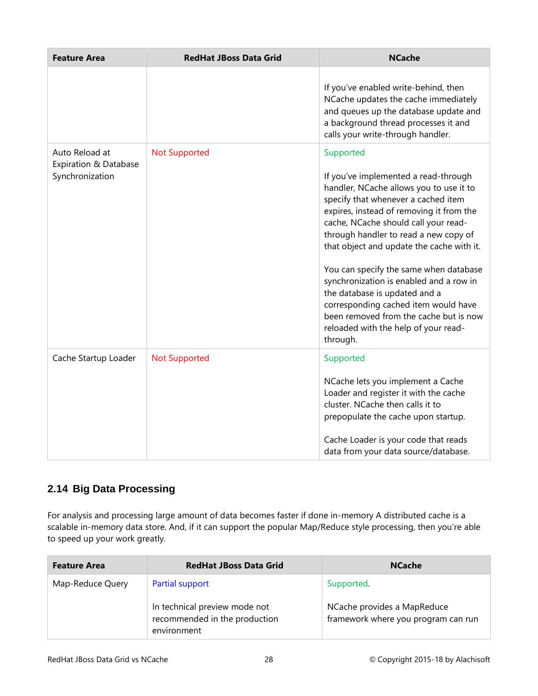| <b>Feature Area</b>                                        | <b>RedHat JBoss Data Grid</b> | <b>NCache</b>                                                                                                                                                                                                                                                                                                                                                                                                                                                                                                                                                             |
|------------------------------------------------------------|-------------------------------|---------------------------------------------------------------------------------------------------------------------------------------------------------------------------------------------------------------------------------------------------------------------------------------------------------------------------------------------------------------------------------------------------------------------------------------------------------------------------------------------------------------------------------------------------------------------------|
|                                                            |                               | If you've enabled write-behind, then<br>NCache updates the cache immediately<br>and queues up the database update and<br>a background thread processes it and<br>calls your write-through handler.                                                                                                                                                                                                                                                                                                                                                                        |
| Auto Reload at<br>Expiration & Database<br>Synchronization | <b>Not Supported</b>          | Supported<br>If you've implemented a read-through<br>handler, NCache allows you to use it to<br>specify that whenever a cached item<br>expires, instead of removing it from the<br>cache, NCache should call your read-<br>through handler to read a new copy of<br>that object and update the cache with it.<br>You can specify the same when database<br>synchronization is enabled and a row in<br>the database is updated and a<br>corresponding cached item would have<br>been removed from the cache but is now<br>reloaded with the help of your read-<br>through. |
| Cache Startup Loader                                       | <b>Not Supported</b>          | Supported<br>NCache lets you implement a Cache<br>Loader and register it with the cache<br>cluster. NCache then calls it to<br>prepopulate the cache upon startup.<br>Cache Loader is your code that reads<br>data from your data source/database.                                                                                                                                                                                                                                                                                                                        |

#### <span id="page-29-0"></span>**2.14 Big Data Processing**

For analysis and processing large amount of data becomes faster if done in-memory A distributed cache is a scalable in-memory data store. And, if it can support the popular Map/Reduce style processing, then you're able to speed up your work greatly.

| <b>Feature Area</b> | <b>RedHat JBoss Data Grid</b>                                                 | <b>NCache</b>                                                      |
|---------------------|-------------------------------------------------------------------------------|--------------------------------------------------------------------|
| Map-Reduce Query    | Partial support                                                               | Supported.                                                         |
|                     | In technical preview mode not<br>recommended in the production<br>environment | NCache provides a MapReduce<br>framework where you program can run |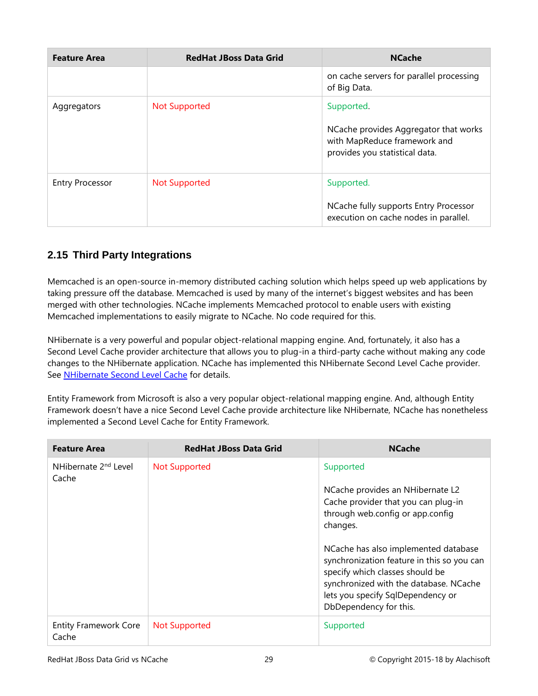| <b>Feature Area</b>    | <b>RedHat JBoss Data Grid</b> | <b>NCache</b>                                                                                                         |
|------------------------|-------------------------------|-----------------------------------------------------------------------------------------------------------------------|
|                        |                               | on cache servers for parallel processing<br>of Big Data.                                                              |
| Aggregators            | <b>Not Supported</b>          | Supported.<br>NCache provides Aggregator that works<br>with MapReduce framework and<br>provides you statistical data. |
| <b>Entry Processor</b> | <b>Not Supported</b>          | Supported.<br>NCache fully supports Entry Processor<br>execution on cache nodes in parallel.                          |

#### <span id="page-30-0"></span>**2.15 Third Party Integrations**

Memcached is an open-source in-memory distributed caching solution which helps speed up web applications by taking pressure off the database. Memcached is used by many of the internet's biggest websites and has been merged with other technologies. NCache implements Memcached protocol to enable users with existing Memcached implementations to easily migrate to NCache. No code required for this.

NHibernate is a very powerful and popular object-relational mapping engine. And, fortunately, it also has a Second Level Cache provider architecture that allows you to plug-in a third-party cache without making any code changes to the NHibernate application. NCache has implemented this NHibernate Second Level Cache provider. See [NHibernate Second Level Cache](http://www.alachisoft.com/ncache/nhibernate-second-level-cache.html) for details.

Entity Framework from Microsoft is also a very popular object-relational mapping engine. And, although Entity Framework doesn't have a nice Second Level Cache provide architecture like NHibernate, NCache has nonetheless implemented a Second Level Cache for Entity Framework.

| <b>Feature Area</b>                       | <b>RedHat JBoss Data Grid</b> | <b>NCache</b>                                                                                                                                                                                                                                                 |
|-------------------------------------------|-------------------------------|---------------------------------------------------------------------------------------------------------------------------------------------------------------------------------------------------------------------------------------------------------------|
| NHibernate 2 <sup>nd</sup> Level<br>Cache | <b>Not Supported</b>          | Supported<br>NCache provides an NHibernate L2<br>Cache provider that you can plug-in<br>through web.config or app.config<br>changes.<br>NCache has also implemented database<br>synchronization feature in this so you can<br>specify which classes should be |
|                                           |                               | synchronized with the database. NCache<br>lets you specify SqlDependency or<br>DbDependency for this.                                                                                                                                                         |
| <b>Entity Framework Core</b><br>Cache     | <b>Not Supported</b>          | Supported                                                                                                                                                                                                                                                     |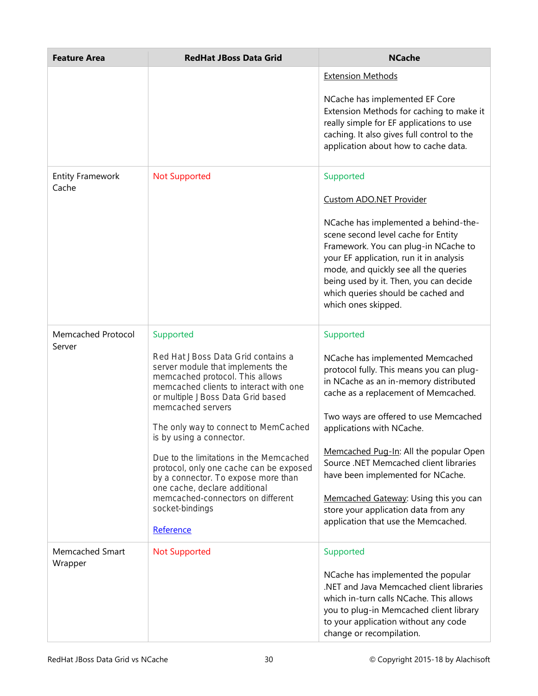| <b>Feature Area</b>              | <b>RedHat JBoss Data Grid</b>                                                                                                                                                                                  | <b>NCache</b>                                                                                                                                                                                                                                                                                                  |
|----------------------------------|----------------------------------------------------------------------------------------------------------------------------------------------------------------------------------------------------------------|----------------------------------------------------------------------------------------------------------------------------------------------------------------------------------------------------------------------------------------------------------------------------------------------------------------|
|                                  |                                                                                                                                                                                                                | <b>Extension Methods</b>                                                                                                                                                                                                                                                                                       |
|                                  |                                                                                                                                                                                                                | NCache has implemented EF Core<br>Extension Methods for caching to make it<br>really simple for EF applications to use<br>caching. It also gives full control to the<br>application about how to cache data.                                                                                                   |
| <b>Entity Framework</b><br>Cache | <b>Not Supported</b>                                                                                                                                                                                           | Supported                                                                                                                                                                                                                                                                                                      |
|                                  |                                                                                                                                                                                                                | <b>Custom ADO.NET Provider</b>                                                                                                                                                                                                                                                                                 |
|                                  |                                                                                                                                                                                                                | NCache has implemented a behind-the-<br>scene second level cache for Entity<br>Framework. You can plug-in NCache to<br>your EF application, run it in analysis<br>mode, and quickly see all the queries<br>being used by it. Then, you can decide<br>which queries should be cached and<br>which ones skipped. |
| Memcached Protocol               | Supported                                                                                                                                                                                                      | Supported                                                                                                                                                                                                                                                                                                      |
| Server                           | Red Hat JBoss Data Grid contains a<br>server module that implements the<br>memcached protocol. This allows<br>memcached clients to interact with one<br>or multiple JBoss Data Grid based<br>memcached servers | NCache has implemented Memcached<br>protocol fully. This means you can plug-<br>in NCache as an in-memory distributed<br>cache as a replacement of Memcached.                                                                                                                                                  |
|                                  | The only way to connect to MemCached<br>is by using a connector.                                                                                                                                               | Two ways are offered to use Memcached<br>applications with NCache.                                                                                                                                                                                                                                             |
|                                  | Due to the limitations in the Memcached<br>protocol, only one cache can be exposed<br>by a connector. To expose more than<br>one cache, declare additional                                                     | Memcached Pug-In: All the popular Open<br>Source .NET Memcached client libraries<br>have been implemented for NCache.                                                                                                                                                                                          |
|                                  | memcached-connectors on different<br>socket-bindings                                                                                                                                                           | Memcached Gateway: Using this you can<br>store your application data from any                                                                                                                                                                                                                                  |
|                                  | Reference                                                                                                                                                                                                      | application that use the Memcached.                                                                                                                                                                                                                                                                            |
| Memcached Smart<br>Wrapper       | <b>Not Supported</b>                                                                                                                                                                                           | Supported                                                                                                                                                                                                                                                                                                      |
|                                  |                                                                                                                                                                                                                | NCache has implemented the popular<br>.NET and Java Memcached client libraries<br>which in-turn calls NCache. This allows<br>you to plug-in Memcached client library<br>to your application without any code<br>change or recompilation.                                                                       |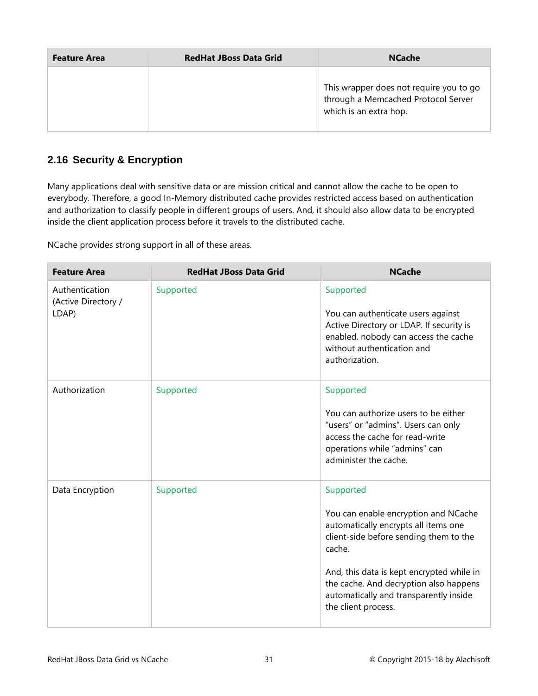| <b>Feature Area</b> | <b>RedHat JBoss Data Grid</b> | <b>NCache</b>                                                                                            |
|---------------------|-------------------------------|----------------------------------------------------------------------------------------------------------|
|                     |                               | This wrapper does not require you to go<br>through a Memcached Protocol Server<br>which is an extra hop. |

#### <span id="page-32-0"></span>**2.16 Security & Encryption**

Many applications deal with sensitive data or are mission critical and cannot allow the cache to be open to everybody. Therefore, a good In-Memory distributed cache provides restricted access based on authentication and authorization to classify people in different groups of users. And, it should also allow data to be encrypted inside the client application process before it travels to the distributed cache.

NCache provides strong support in all of these areas.

| <b>Feature Area</b>                            | <b>RedHat JBoss Data Grid</b> | <b>NCache</b>                                                                                                                                                                                                                                                                                         |
|------------------------------------------------|-------------------------------|-------------------------------------------------------------------------------------------------------------------------------------------------------------------------------------------------------------------------------------------------------------------------------------------------------|
| Authentication<br>(Active Directory /<br>LDAP) | Supported                     | Supported<br>You can authenticate users against<br>Active Directory or LDAP. If security is<br>enabled, nobody can access the cache<br>without authentication and<br>authorization.                                                                                                                   |
| Authorization                                  | Supported                     | Supported<br>You can authorize users to be either<br>"users" or "admins". Users can only<br>access the cache for read-write<br>operations while "admins" can<br>administer the cache.                                                                                                                 |
| Data Encryption                                | Supported                     | Supported<br>You can enable encryption and NCache<br>automatically encrypts all items one<br>client-side before sending them to the<br>cache.<br>And, this data is kept encrypted while in<br>the cache. And decryption also happens<br>automatically and transparently inside<br>the client process. |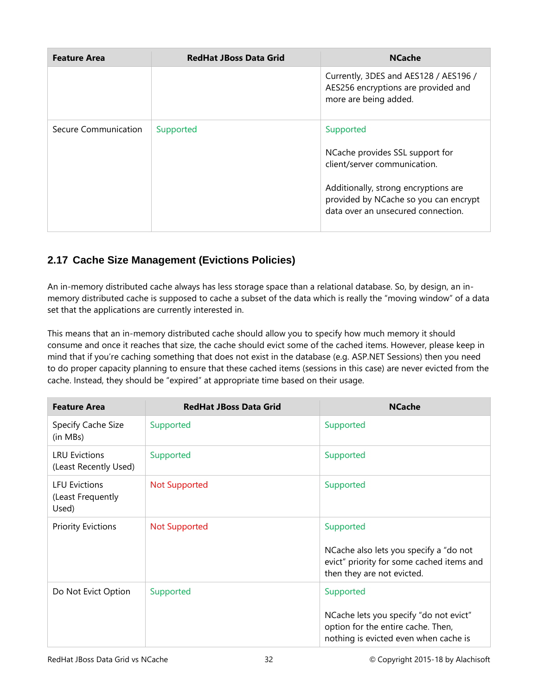| <b>Feature Area</b>  | <b>RedHat JBoss Data Grid</b> | <b>NCache</b>                                                                                                                                                                                       |
|----------------------|-------------------------------|-----------------------------------------------------------------------------------------------------------------------------------------------------------------------------------------------------|
|                      |                               | Currently, 3DES and AES128 / AES196 /<br>AES256 encryptions are provided and<br>more are being added.                                                                                               |
| Secure Communication | Supported                     | Supported<br>NCache provides SSL support for<br>client/server communication.<br>Additionally, strong encryptions are<br>provided by NCache so you can encrypt<br>data over an unsecured connection. |

#### <span id="page-33-0"></span>**2.17 Cache Size Management (Evictions Policies)**

An in-memory distributed cache always has less storage space than a relational database. So, by design, an inmemory distributed cache is supposed to cache a subset of the data which is really the "moving window" of a data set that the applications are currently interested in.

This means that an in-memory distributed cache should allow you to specify how much memory it should consume and once it reaches that size, the cache should evict some of the cached items. However, please keep in mind that if you're caching something that does not exist in the database (e.g. ASP.NET Sessions) then you need to do proper capacity planning to ensure that these cached items (sessions in this case) are never evicted from the cache. Instead, they should be "expired" at appropriate time based on their usage.

| <b>Feature Area</b>                                | <b>RedHat JBoss Data Grid</b> | <b>NCache</b>                                                                                                                      |
|----------------------------------------------------|-------------------------------|------------------------------------------------------------------------------------------------------------------------------------|
| Specify Cache Size<br>(in MBs)                     | Supported                     | Supported                                                                                                                          |
| <b>LRU Evictions</b><br>(Least Recently Used)      | Supported                     | Supported                                                                                                                          |
| <b>LFU Evictions</b><br>(Least Frequently<br>Used) | <b>Not Supported</b>          | Supported                                                                                                                          |
| <b>Priority Evictions</b>                          | <b>Not Supported</b>          | Supported<br>NCache also lets you specify a "do not<br>evict" priority for some cached items and<br>then they are not evicted.     |
| Do Not Evict Option                                | Supported                     | Supported<br>NCache lets you specify "do not evict"<br>option for the entire cache. Then,<br>nothing is evicted even when cache is |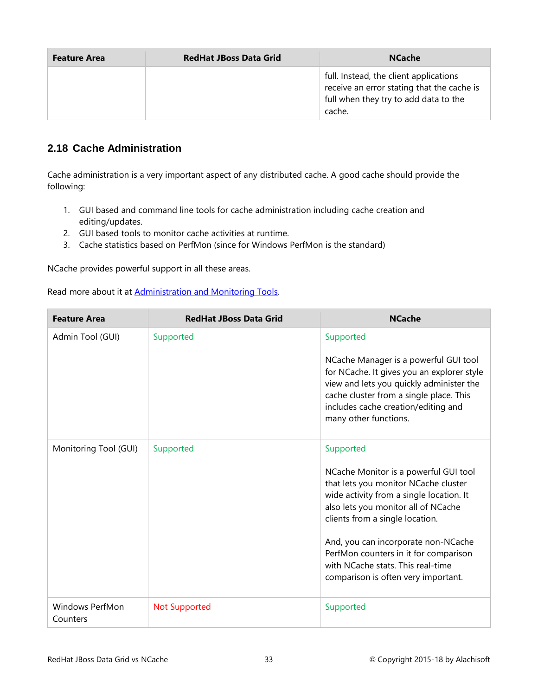| <b>Feature Area</b> | <b>RedHat JBoss Data Grid</b> | <b>NCache</b>                                                                                                                           |
|---------------------|-------------------------------|-----------------------------------------------------------------------------------------------------------------------------------------|
|                     |                               | full. Instead, the client applications<br>receive an error stating that the cache is<br>full when they try to add data to the<br>cache. |

#### <span id="page-34-0"></span>**2.18 Cache Administration**

Cache administration is a very important aspect of any distributed cache. A good cache should provide the following:

- 1. GUI based and command line tools for cache administration including cache creation and editing/updates.
- 2. GUI based tools to monitor cache activities at runtime.
- 3. Cache statistics based on PerfMon (since for Windows PerfMon is the standard)

NCache provides powerful support in all these areas.

Read more about it at [Administration and Monitoring Tools.](http://www.alachisoft.com/ncache/admin-monitor-tools.html)

| <b>Feature Area</b>                | <b>RedHat JBoss Data Grid</b> | <b>NCache</b>                                                                                                                                                                                                                                                                                                                                                                |
|------------------------------------|-------------------------------|------------------------------------------------------------------------------------------------------------------------------------------------------------------------------------------------------------------------------------------------------------------------------------------------------------------------------------------------------------------------------|
| Admin Tool (GUI)                   | Supported                     | Supported<br>NCache Manager is a powerful GUI tool<br>for NCache. It gives you an explorer style<br>view and lets you quickly administer the<br>cache cluster from a single place. This<br>includes cache creation/editing and<br>many other functions.                                                                                                                      |
| Monitoring Tool (GUI)              | Supported                     | Supported<br>NCache Monitor is a powerful GUI tool<br>that lets you monitor NCache cluster<br>wide activity from a single location. It<br>also lets you monitor all of NCache<br>clients from a single location.<br>And, you can incorporate non-NCache<br>PerfMon counters in it for comparison<br>with NCache stats. This real-time<br>comparison is often very important. |
| <b>Windows PerfMon</b><br>Counters | <b>Not Supported</b>          | Supported                                                                                                                                                                                                                                                                                                                                                                    |